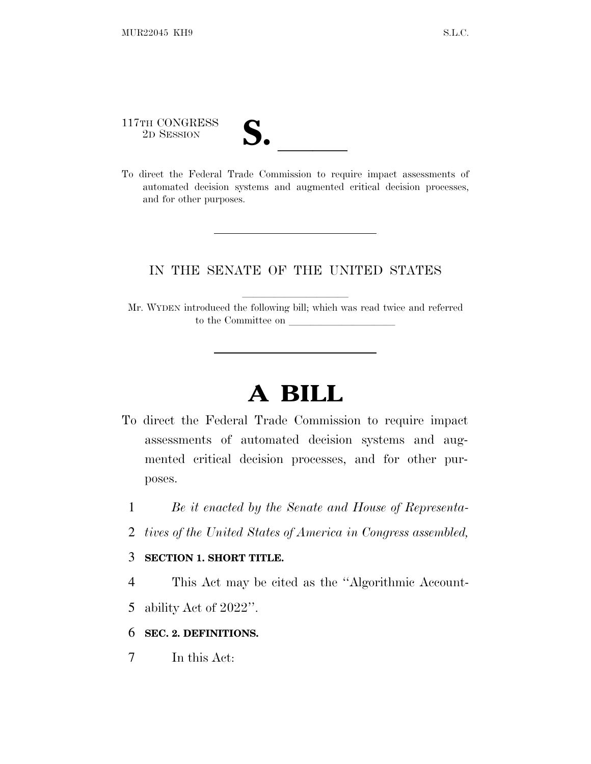117TH CONGRESS

- 
- 117TH CONGRESS<br>
2D SESSION<br>
To direct the Federal Trade Commission to require impact assessments of automated decision systems and augmented critical decision processes, and for other purposes.

### IN THE SENATE OF THE UNITED STATES

Mr. WYDEN introduced the following bill; which was read twice and referred to the Committee on

# **A BILL**

- To direct the Federal Trade Commission to require impact assessments of automated decision systems and augmented critical decision processes, and for other purposes.
	- 1 *Be it enacted by the Senate and House of Representa-*
	- 2 *tives of the United States of America in Congress assembled,*

#### 3 **SECTION 1. SHORT TITLE.**

- 4 This Act may be cited as the ''Algorithmic Account-
- 5 ability Act of 2022''.

### 6 **SEC. 2. DEFINITIONS.**

7 In this Act: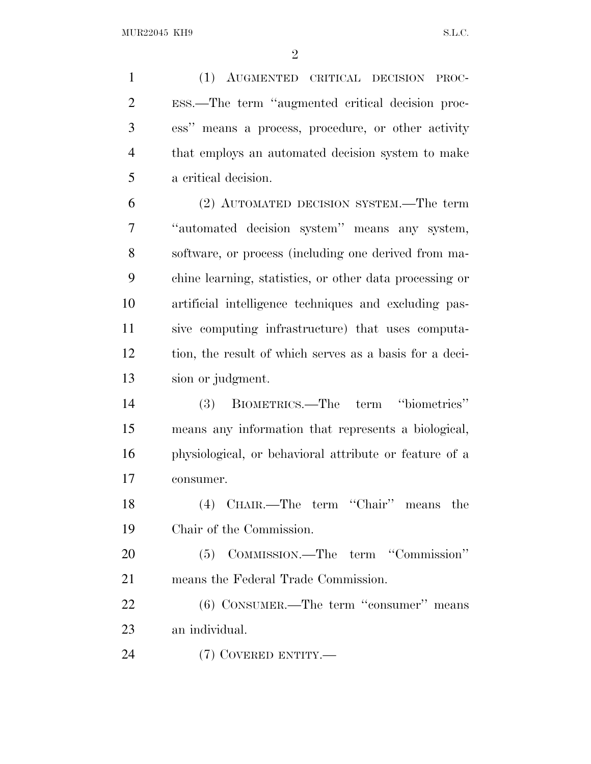(1) AUGMENTED CRITICAL DECISION PROC- ESS.—The term ''augmented critical decision proc- ess'' means a process, procedure, or other activity that employs an automated decision system to make a critical decision.

 (2) AUTOMATED DECISION SYSTEM.—The term ''automated decision system'' means any system, software, or process (including one derived from ma- chine learning, statistics, or other data processing or artificial intelligence techniques and excluding pas- sive computing infrastructure) that uses computa- tion, the result of which serves as a basis for a deci-sion or judgment.

 (3) BIOMETRICS.—The term ''biometrics'' means any information that represents a biological, physiological, or behavioral attribute or feature of a consumer.

 (4) CHAIR.—The term ''Chair'' means the Chair of the Commission.

 (5) COMMISSION.—The term ''Commission'' means the Federal Trade Commission.

 (6) CONSUMER.—The term ''consumer'' means an individual.

(7) COVERED ENTITY.—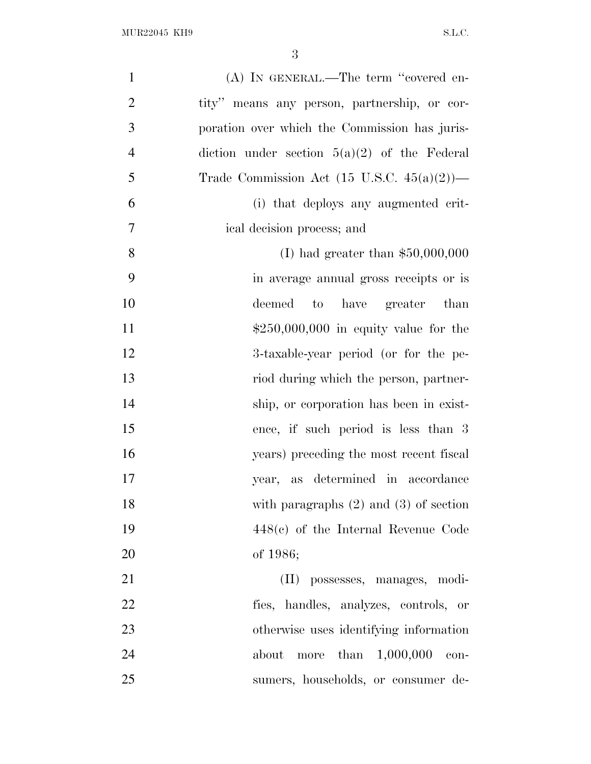| $\mathbf{1}$   | (A) IN GENERAL.—The term "covered en-                     |
|----------------|-----------------------------------------------------------|
| $\overline{2}$ | tity" means any person, partnership, or cor-              |
| 3              | poration over which the Commission has juris-             |
| $\overline{4}$ | diction under section $5(a)(2)$ of the Federal            |
| 5              | Trade Commission Act $(15 \text{ U.S.C. } 45(a)(2))$ —    |
| 6              | (i) that deploys any augmented crit-                      |
| $\overline{7}$ | ical decision process; and                                |
| 8              | (I) had greater than $$50,000,000$                        |
| 9              | in average annual gross receipts or is                    |
| 10             | deemed to have greater than                               |
| 11             | $$250,000,000$ in equity value for the                    |
| 12             | 3-taxable-year period (or for the pe-                     |
| 13             | riod during which the person, partner-                    |
| 14             | ship, or corporation has been in exist-                   |
| 15             | ence, if such period is less than 3                       |
| 16             | years) preceding the most recent fiscal                   |
| 17             | year, as determined in accordance                         |
| 18             | with paragraphs $(2)$ and $(3)$ of section                |
| 19             | $448(e)$ of the Internal Revenue Code                     |
| 20             | of 1986;                                                  |
| 21             | (II) possesses, manages, modi-                            |
| 22             | fies, handles, analyzes, controls, or                     |
| 23             | otherwise uses identifying information                    |
| 24             | than $1,000,000$<br>about<br>$_{\rm more}$<br>$\rm con$ - |
| 25             | sumers, households, or consumer de-                       |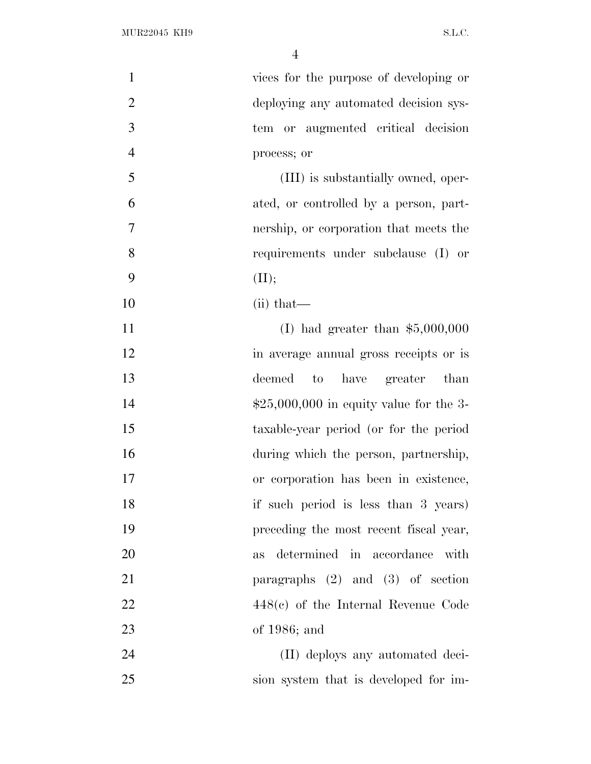| $\mathbf{1}$   | vices for the purpose of developing or   |
|----------------|------------------------------------------|
| $\overline{2}$ | deploying any automated decision sys-    |
| 3              | tem or augmented critical decision       |
| $\overline{4}$ | process; or                              |
| 5              | (III) is substantially owned, oper-      |
| 6              | ated, or controlled by a person, part-   |
| $\overline{7}$ | nership, or corporation that meets the   |
| 8              | requirements under subclause (I) or      |
| 9              | (II);                                    |
| 10             | $(ii)$ that—                             |
| 11             | (I) had greater than $$5,000,000$        |
| 12             | in average annual gross receipts or is   |
| 13             | deemed<br>to have greater than           |
| 14             | $$25,000,000$ in equity value for the 3- |
| 15             | taxable-year period (or for the period   |
| 16             | during which the person, partnership,    |
| 17             | or corporation has been in existence,    |
| 18             | if such period is less than 3 years)     |
| 19             | preceding the most recent fiscal year,   |
| 20             | determined in accordance<br>with<br>as   |
| 21             | paragraphs $(2)$ and $(3)$ of section    |
| 22             | $448(e)$ of the Internal Revenue Code    |
| 23             | of $1986$ ; and                          |
| 24             | (II) deploys any automated deci-         |
| 25             | sion system that is developed for im-    |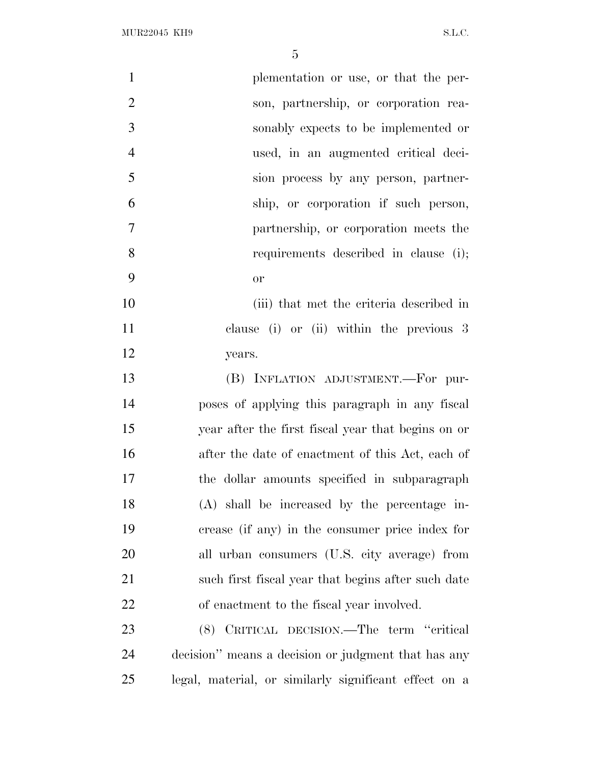| $\mathbf{1}$   | plementation or use, or that the per-                 |
|----------------|-------------------------------------------------------|
| $\overline{2}$ | son, partnership, or corporation rea-                 |
| 3              | sonably expects to be implemented or                  |
| $\overline{4}$ | used, in an augmented critical deci-                  |
| 5              | sion process by any person, partner-                  |
| 6              | ship, or corporation if such person,                  |
| $\tau$         | partnership, or corporation meets the                 |
| 8              | requirements described in clause (i);                 |
| 9              | <b>or</b>                                             |
| 10             | (iii) that met the criteria described in              |
| 11             | clause (i) or (ii) within the previous 3              |
| 12             | years.                                                |
| 13             | (B) INFLATION ADJUSTMENT.-For pur-                    |
| 14             | poses of applying this paragraph in any fiscal        |
| 15             | year after the first fiscal year that begins on or    |
| 16             | after the date of enactment of this Act, each of      |
| 17             | the dollar amounts specified in subparagraph          |
| 18             | (A) shall be increased by the percentage in-          |
| 19             | crease (if any) in the consumer price index for       |
| 20             | all urban consumers (U.S. city average) from          |
| 21             | such first fiscal year that begins after such date    |
| 22             | of enactment to the fiscal year involved.             |
| 23             | (8) CRITICAL DECISION.—The term "critical             |
| 24             | decision" means a decision or judgment that has any   |
| 25             | legal, material, or similarly significant effect on a |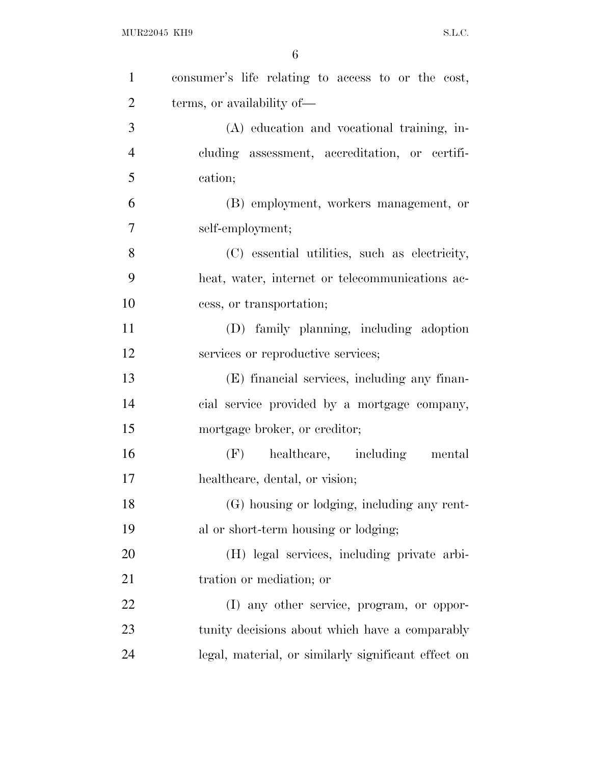| $\mathbf{1}$   | consumer's life relating to access to or the cost,  |
|----------------|-----------------------------------------------------|
| $\overline{2}$ | terms, or availability of—                          |
| 3              | (A) education and vocational training, in-          |
| $\overline{4}$ | cluding assessment, accreditation, or certifi-      |
| 5              | cation;                                             |
| 6              | (B) employment, workers management, or              |
| 7              | self-employment;                                    |
| 8              | (C) essential utilities, such as electricity,       |
| 9              | heat, water, internet or telecommunications ac-     |
| 10             | cess, or transportation;                            |
| 11             | (D) family planning, including adoption             |
| 12             | services or reproductive services;                  |
| 13             | (E) financial services, including any finan-        |
| 14             | cial service provided by a mortgage company,        |
| 15             | mortgage broker, or creditor;                       |
| 16             | $(F)$ healthcare, including<br>mental               |
| 17             | healthcare, dental, or vision;                      |
| 18             | (G) housing or lodging, including any rent-         |
| 19             | al or short-term housing or lodging;                |
| 20             | (H) legal services, including private arbi-         |
| 21             | tration or mediation; or                            |
| 22             | (I) any other service, program, or oppor-           |
| 23             | tunity decisions about which have a comparably      |
| 24             | legal, material, or similarly significant effect on |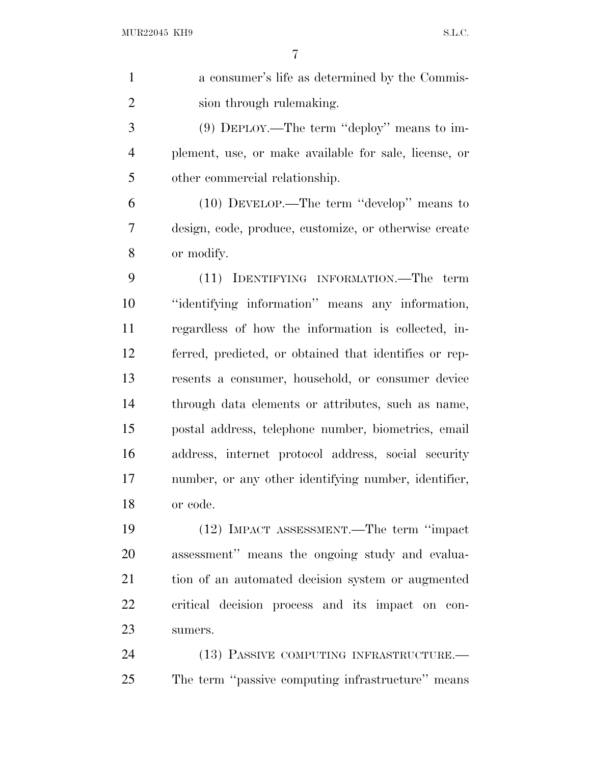| $\mathbf{1}$   | a consumer's life as determined by the Commis-         |
|----------------|--------------------------------------------------------|
| $\overline{2}$ | sion through rulemaking.                               |
| 3              | $(9)$ DEPLOY.—The term "deploy" means to im-           |
| $\overline{4}$ | plement, use, or make available for sale, license, or  |
| 5              | other commercial relationship.                         |
| 6              | $(10)$ DEVELOP.—The term "develop" means to            |
| 7              | design, code, produce, customize, or otherwise create  |
| 8              | or modify.                                             |
| 9              | (11) IDENTIFYING INFORMATION.—The term                 |
| 10             | "identifying information" means any information,       |
| 11             | regardless of how the information is collected, in-    |
| 12             | ferred, predicted, or obtained that identifies or rep- |
| 13             | resents a consumer, household, or consumer device      |
| 14             | through data elements or attributes, such as name,     |
| 15             | postal address, telephone number, biometrics, email    |
| 16             | address, internet protocol address, social security    |
| 17             | number, or any other identifying number, identifier,   |
| 18             | or code.                                               |
| 19             | (12) IMPACT ASSESSMENT.—The term "impact               |
| 20             | assessment" means the ongoing study and evalua-        |
| 21             | tion of an automated decision system or augmented      |
| 22             | critical decision process and its impact on con-       |
| 23             | sumers.                                                |
| 24             | (13) PASSIVE COMPUTING INFRASTRUCTURE.-                |
|                |                                                        |

The term ''passive computing infrastructure'' means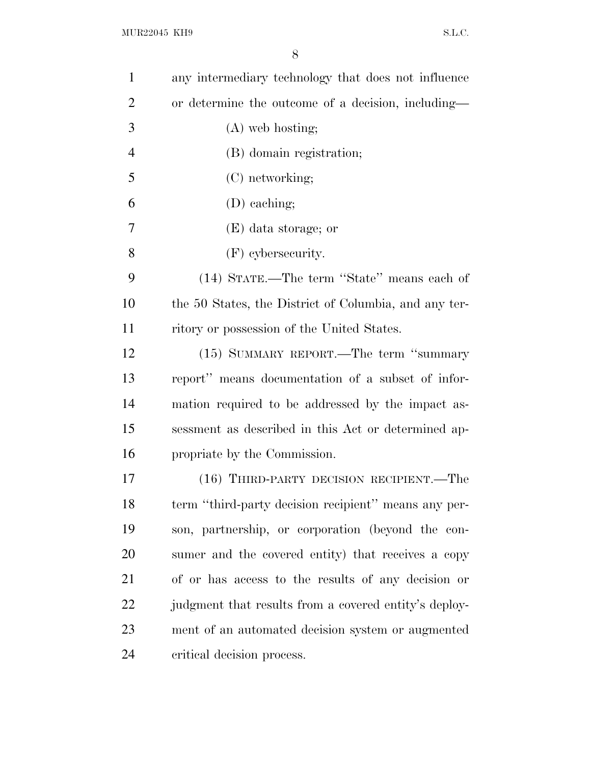| $\mathbf{1}$   | any intermediary technology that does not influence   |
|----------------|-------------------------------------------------------|
| $\overline{2}$ | or determine the outcome of a decision, including—    |
| 3              | $(A)$ web hosting;                                    |
| $\overline{4}$ | (B) domain registration;                              |
| 5              | (C) networking;                                       |
| 6              | (D) eaching;                                          |
| 7              | (E) data storage; or                                  |
| 8              | $(F)$ cybersecurity.                                  |
| 9              | (14) STATE.—The term "State" means each of            |
| 10             | the 50 States, the District of Columbia, and any ter- |
| 11             | ritory or possession of the United States.            |
| 12             | (15) SUMMARY REPORT.—The term "summary                |
| 13             | report" means documentation of a subset of infor-     |
| 14             | mation required to be addressed by the impact as-     |
| 15             | sessment as described in this Act or determined ap-   |
| 16             | propriate by the Commission.                          |
| 17             | (16) THIRD-PARTY DECISION RECIPIENT.—The              |
| 18             | term "third-party decision recipient" means any per-  |
| 19             | son, partnership, or corporation (beyond the con-     |
| 20             | sumer and the covered entity) that receives a copy    |
| 21             | of or has access to the results of any decision or    |
| 22             | judgment that results from a covered entity's deploy- |
| 23             | ment of an automated decision system or augmented     |
| 24             | critical decision process.                            |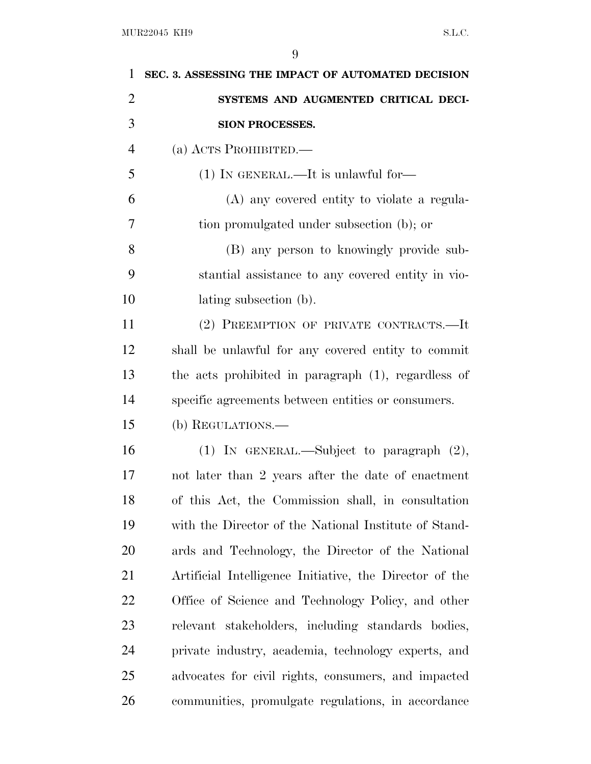| 1              | SEC. 3. ASSESSING THE IMPACT OF AUTOMATED DECISION      |
|----------------|---------------------------------------------------------|
| $\overline{2}$ | SYSTEMS AND AUGMENTED CRITICAL DECI-                    |
| 3              | SION PROCESSES.                                         |
| $\overline{4}$ | (a) ACTS PROHIBITED.—                                   |
| 5              | $(1)$ IN GENERAL.—It is unlawful for—                   |
| 6              | (A) any covered entity to violate a regula-             |
| 7              | tion promulgated under subsection (b); or               |
| 8              | (B) any person to knowingly provide sub-                |
| 9              | stantial assistance to any covered entity in vio-       |
| 10             | lating subsection (b).                                  |
| 11             | (2) PREEMPTION OF PRIVATE CONTRACTS.-It                 |
| 12             | shall be unlawful for any covered entity to commit      |
| 13             | the acts prohibited in paragraph (1), regardless of     |
| 14             | specific agreements between entities or consumers.      |
| 15             | (b) REGULATIONS.—                                       |
| 16             | (1) IN GENERAL.—Subject to paragraph $(2)$ ,            |
| 17             | not later than 2 years after the date of enactment      |
| 18             | of this Act, the Commission shall, in consultation      |
| 19             | with the Director of the National Institute of Stand-   |
| <b>20</b>      | ards and Technology, the Director of the National       |
| 21             | Artificial Intelligence Initiative, the Director of the |
| 22             | Office of Science and Technology Policy, and other      |
| 23             | relevant stakeholders, including standards bodies,      |
| 24             | private industry, academia, technology experts, and     |
| 25             | advocates for civil rights, consumers, and impacted     |
| 26             | communities, promulgate regulations, in accordance      |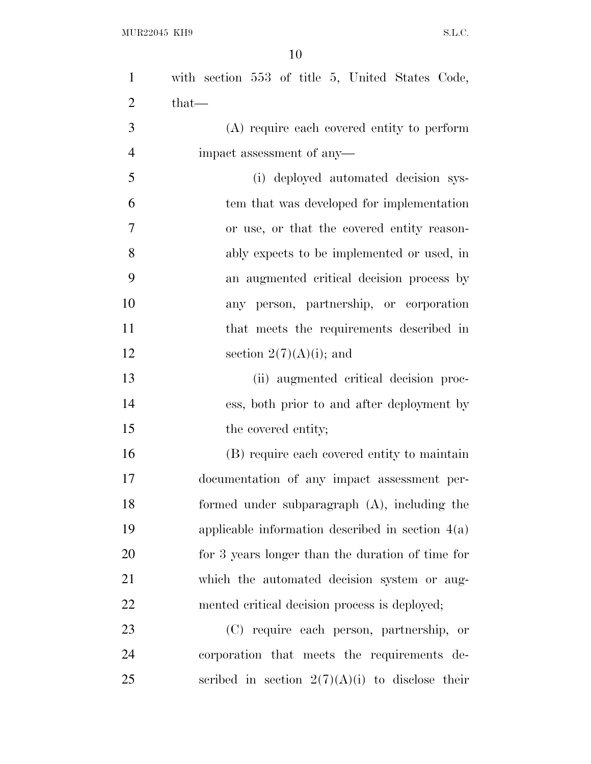| $\mathbf{1}$   | with section 553 of title 5, United States Code,   |
|----------------|----------------------------------------------------|
| $\overline{2}$ | $that-$                                            |
| 3              | (A) require each covered entity to perform         |
| $\overline{4}$ | impact assessment of any-                          |
| 5              | (i) deployed automated decision sys-               |
| 6              | tem that was developed for implementation          |
| $\tau$         | or use, or that the covered entity reason-         |
| 8              | ably expects to be implemented or used, in         |
| 9              | an augmented critical decision process by          |
| 10             | any person, partnership, or corporation            |
| 11             | that meets the requirements described in           |
| 12             | section $2(7)(A)(i)$ ; and                         |
| 13             | (ii) augmented critical decision proc-             |
| 14             | ess, both prior to and after deployment by         |
| 15             | the covered entity;                                |
| 16             | (B) require each covered entity to maintain        |
| 17             | documentation of any impact assessment per-        |
| 18             | formed under subparagraph (A), including the       |
| 19             | applicable information described in section $4(a)$ |
| 20             | for 3 years longer than the duration of time for   |
| 21             | which the automated decision system or aug-        |
| 22             | mented critical decision process is deployed;      |
| 23             | (C) require each person, partnership, or           |
| 24             | corporation that meets the requirements de-        |
| 25             | scribed in section $2(7)(A)(i)$ to disclose their  |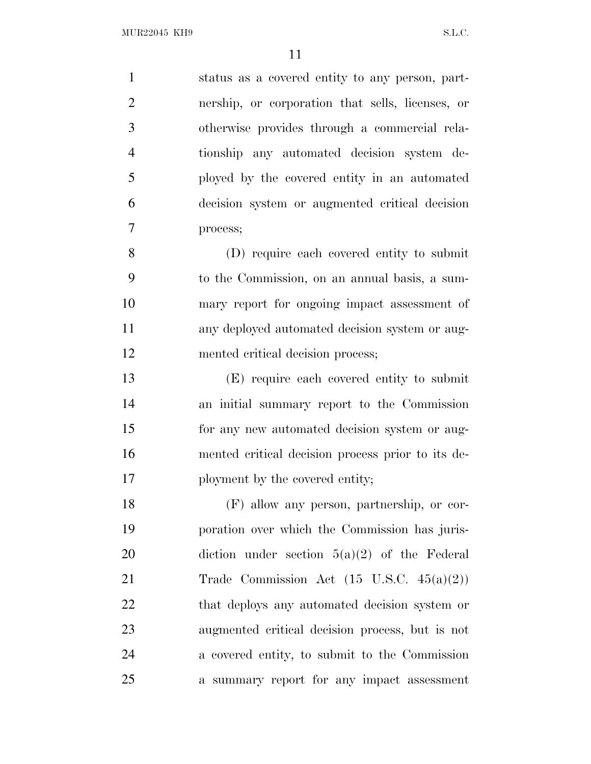status as a covered entity to any person, part- nership, or corporation that sells, licenses, or otherwise provides through a commercial rela- tionship any automated decision system de- ployed by the covered entity in an automated decision system or augmented critical decision process; (D) require each covered entity to submit to the Commission, on an annual basis, a sum- mary report for ongoing impact assessment of any deployed automated decision system or aug- mented critical decision process; (E) require each covered entity to submit an initial summary report to the Commission 15 for any new automated decision system or aug- mented critical decision process prior to its de-17 ployment by the covered entity; (F) allow any person, partnership, or cor- poration over which the Commission has juris- diction under section 5(a)(2) of the Federal 21 Trade Commission Act (15 U.S.C. 45(a)(2)) 22 that deploys any automated decision system or augmented critical decision process, but is not a covered entity, to submit to the Commission a summary report for any impact assessment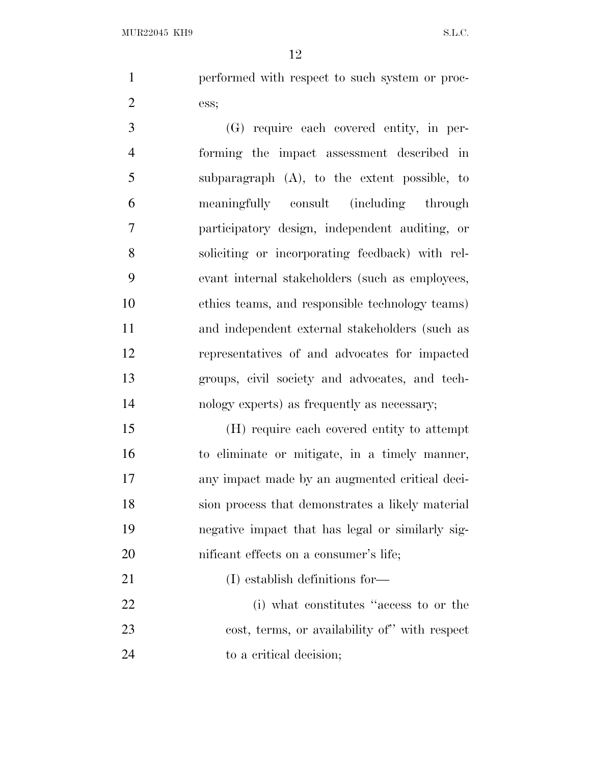performed with respect to such system or proc-ess;

 (G) require each covered entity, in per- forming the impact assessment described in subparagraph (A), to the extent possible, to meaningfully consult (including through participatory design, independent auditing, or soliciting or incorporating feedback) with rel- evant internal stakeholders (such as employees, ethics teams, and responsible technology teams) and independent external stakeholders (such as representatives of and advocates for impacted groups, civil society and advocates, and tech-nology experts) as frequently as necessary;

 (H) require each covered entity to attempt to eliminate or mitigate, in a timely manner, any impact made by an augmented critical deci- sion process that demonstrates a likely material negative impact that has legal or similarly sig-20 nificant effects on a consumer's life;

21 (I) establish definitions for—

 (i) what constitutes ''access to or the cost, terms, or availability of'' with respect 24 to a critical decision;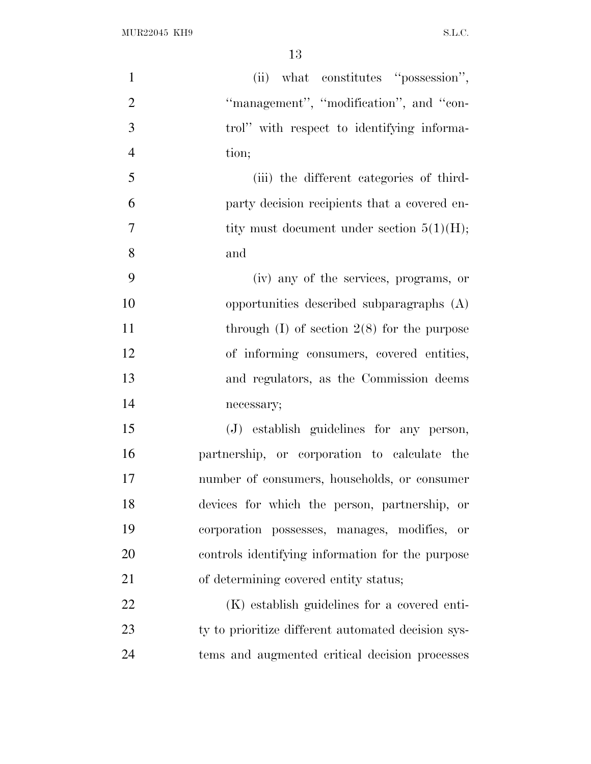| $\mathbf{1}$   | (ii) what constitutes "possession",                    |
|----------------|--------------------------------------------------------|
| $\overline{2}$ | "management", "modification", and "con-                |
| 3              | trol" with respect to identifying informa-             |
| $\overline{4}$ | tion;                                                  |
| 5              | (iii) the different categories of third-               |
| 6              | party decision recipients that a covered en-           |
| 7              | tity must document under section $5(1)(H)$ ;           |
| 8              | and                                                    |
| 9              | (iv) any of the services, programs, or                 |
| 10             | opportunities described subparagraphs (A)              |
| 11             | through $(I)$ of section $2(8)$ for the purpose        |
| 12             | of informing consumers, covered entities,              |
| 13             | and regulators, as the Commission deems                |
| 14             | necessary;                                             |
| 15             | (J) establish guidelines for any person,               |
| 16             | partnership, or corporation to calculate the           |
| 17             | number of consumers, households, or consumer           |
| 18             | devices for which the person, partnership, or          |
| 19             | corporation possesses, manages, modifies,<br><b>or</b> |
| 20             | controls identifying information for the purpose       |
| 21             | of determining covered entity status;                  |
| 22             | (K) establish guidelines for a covered enti-           |
| 23             | ty to prioritize different automated decision sys-     |
| 24             | tems and augmented critical decision processes         |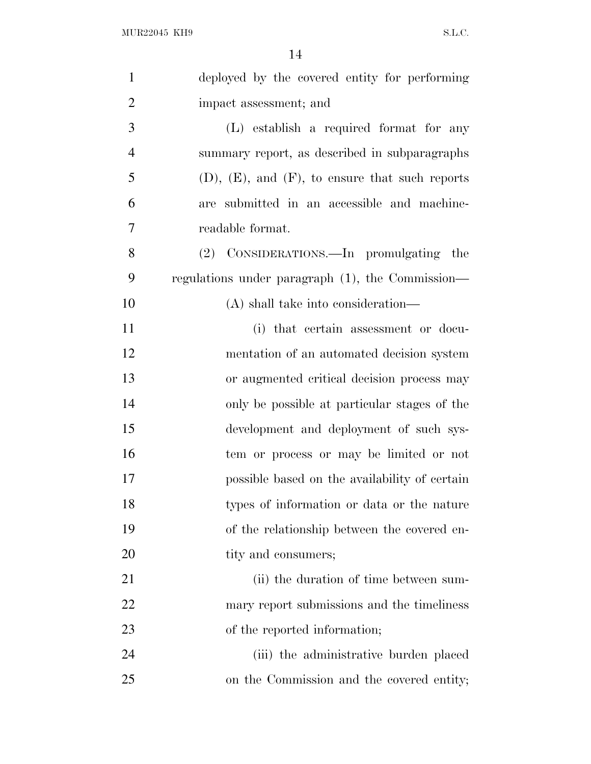| $\mathbf{1}$   | deployed by the covered entity for performing           |
|----------------|---------------------------------------------------------|
| $\overline{2}$ | impact assessment; and                                  |
| 3              | (L) establish a required format for any                 |
| $\overline{4}$ | summary report, as described in subparagraphs           |
| 5              | $(D)$ , $(E)$ , and $(F)$ , to ensure that such reports |
| 6              | are submitted in an accessible and machine-             |
| 7              | readable format.                                        |
| 8              | (2) CONSIDERATIONS.—In promulgating the                 |
| 9              | regulations under paragraph (1), the Commission—        |
| 10             | (A) shall take into consideration—                      |
| 11             | (i) that certain assessment or docu-                    |
| 12             | mentation of an automated decision system               |
| 13             | or augmented critical decision process may              |
| 14             | only be possible at particular stages of the            |
| 15             | development and deployment of such sys-                 |
| 16             | tem or process or may be limited or not                 |
| 17             | possible based on the availability of certain           |
| 18             | types of information or data or the nature              |
| 19             | of the relationship between the covered en-             |
| 20             | tity and consumers;                                     |
| 21             | (ii) the duration of time between sum-                  |
| 22             | mary report submissions and the timeliness              |
| 23             | of the reported information;                            |
| 24             | (iii) the administrative burden placed                  |
| 25             | on the Commission and the covered entity;               |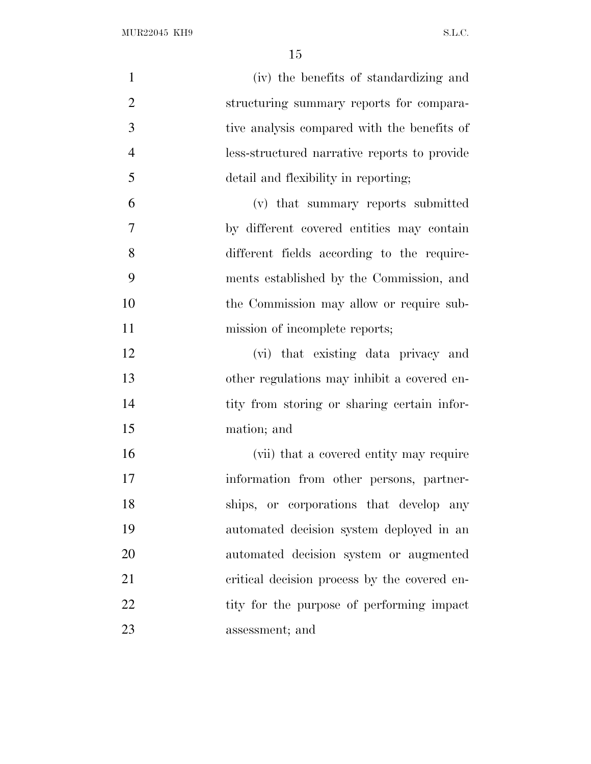| $\mathbf{1}$   | (iv) the benefits of standardizing and       |
|----------------|----------------------------------------------|
| $\overline{2}$ | structuring summary reports for compara-     |
| 3              | tive analysis compared with the benefits of  |
| $\overline{4}$ | less-structured narrative reports to provide |
| 5              | detail and flexibility in reporting;         |
| 6              | (v) that summary reports submitted           |
| $\tau$         | by different covered entities may contain    |
| 8              | different fields according to the require-   |
| 9              | ments established by the Commission, and     |
| 10             | the Commission may allow or require sub-     |
| 11             | mission of incomplete reports;               |
| 12             | (vi) that existing data privacy and          |
| 13             | other regulations may inhibit a covered en-  |
| 14             | tity from storing or sharing certain infor-  |
| 15             | mation; and                                  |
| 16             | (vii) that a covered entity may require      |
| 17             | information from other persons, partner-     |
| 18             | ships, or corporations that develop any      |
| 19             | automated decision system deployed in an     |
| 20             | automated decision system or augmented       |
| 21             | critical decision process by the covered en- |
| 22             | tity for the purpose of performing impact    |
| 23             | assessment; and                              |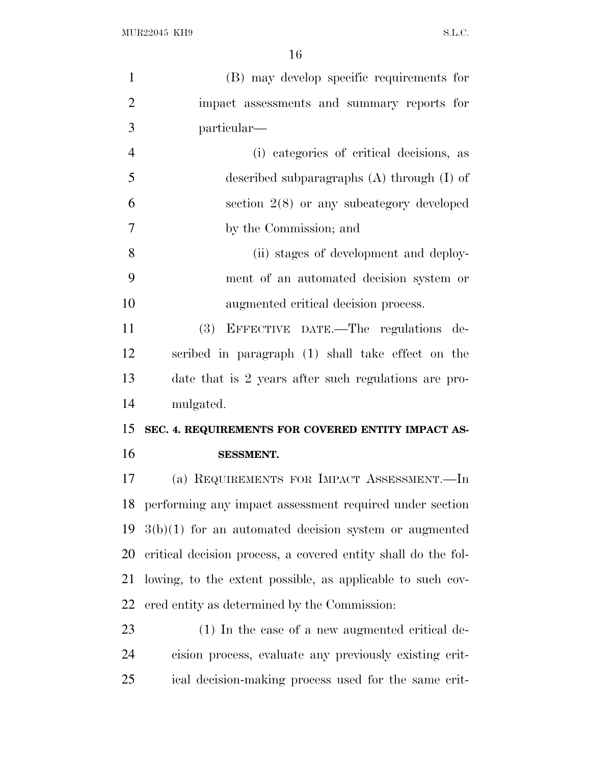| $\mathbf{1}$   | (B) may develop specific requirements for                     |
|----------------|---------------------------------------------------------------|
| $\overline{2}$ | impact assessments and summary reports for                    |
| 3              | particular—                                                   |
| $\overline{4}$ | (i) categories of critical decisions, as                      |
| 5              | described subparagraphs $(A)$ through $(I)$ of                |
| 6              | section $2(8)$ or any subcategory developed                   |
| $\overline{7}$ | by the Commission; and                                        |
| 8              | (ii) stages of development and deploy-                        |
| 9              | ment of an automated decision system or                       |
| 10             | augmented critical decision process.                          |
| 11             | (3) EFFECTIVE DATE.—The regulations de-                       |
| 12             | scribed in paragraph (1) shall take effect on the             |
| 13             | date that is 2 years after such regulations are pro-          |
| 14             | mulgated.                                                     |
| 15             | SEC. 4. REQUIREMENTS FOR COVERED ENTITY IMPACT AS-            |
| 16             | <b>SESSMENT.</b>                                              |
| 17             | (a) REQUIREMENTS FOR IMPACT ASSESSMENT.—In                    |
|                | 18 performing any impact assessment required under section    |
| 19             | $3(b)(1)$ for an automated decision system or augmented       |
| 20             | critical decision process, a covered entity shall do the fol- |
| 21             | lowing, to the extent possible, as applicable to such cov-    |
| 22             | ered entity as determined by the Commission:                  |
| 23             | (1) In the case of a new augmented critical de-               |
| 24             | cision process, evaluate any previously existing crit-        |
| 25             | ical decision-making process used for the same crit-          |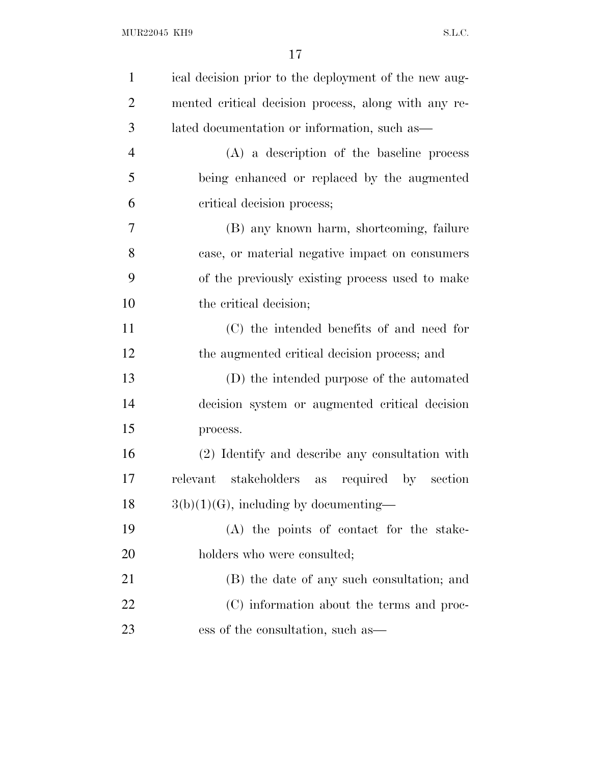| $\mathbf{1}$   | ical decision prior to the deployment of the new aug- |
|----------------|-------------------------------------------------------|
| $\overline{2}$ | mented critical decision process, along with any re-  |
| 3              | lated documentation or information, such as—          |
| $\overline{4}$ | $(A)$ a description of the baseline process           |
| 5              | being enhanced or replaced by the augmented           |
| 6              | critical decision process;                            |
| 7              | (B) any known harm, shortcoming, failure              |
| 8              | case, or material negative impact on consumers        |
| 9              | of the previously existing process used to make       |
| 10             | the critical decision;                                |
| 11             | (C) the intended benefits of and need for             |
| 12             | the augmented critical decision process; and          |
| 13             | (D) the intended purpose of the automated             |
| 14             | decision system or augmented critical decision        |
| 15             | process.                                              |
| 16             | (2) Identify and describe any consultation with       |
| 17             | relevant stakeholders as<br>required by section       |
| 18             | $3(b)(1)(G)$ , including by documenting—              |
| 19             | (A) the points of contact for the stake-              |
| 20             | holders who were consulted;                           |
| 21             | (B) the date of any such consultation; and            |
| 22             | (C) information about the terms and proc-             |
| 23             | ess of the consultation, such as—                     |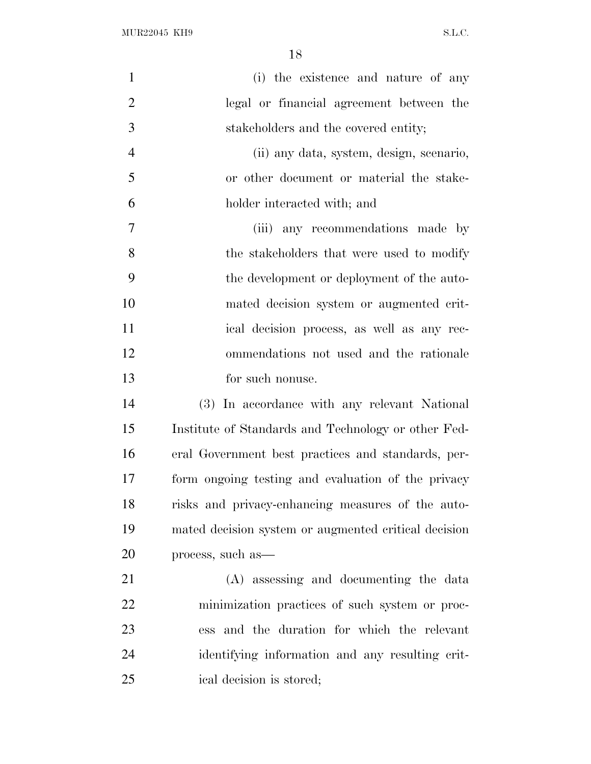$\rm MUR22045\,~~KH9 \qquad \qquad S.L.C.$ 

| $\mathbf{1}$   | (i) the existence and nature of any                  |
|----------------|------------------------------------------------------|
| $\overline{2}$ | legal or financial agreement between the             |
| 3              | stakeholders and the covered entity;                 |
| $\overline{4}$ | (ii) any data, system, design, scenario,             |
| 5              | or other document or material the stake-             |
| 6              | holder interacted with; and                          |
| $\overline{7}$ | (iii) any recommendations made by                    |
| 8              | the stakeholders that were used to modify            |
| 9              | the development or deployment of the auto-           |
| 10             | mated decision system or augmented crit-             |
| 11             | ical decision process, as well as any rec-           |
| 12             | ommendations not used and the rationale              |
| 13             | for such nonuse.                                     |
| 14             | (3) In accordance with any relevant National         |
| 15             | Institute of Standards and Technology or other Fed-  |
| 16             | eral Government best practices and standards, per-   |
| 17             | form ongoing testing and evaluation of the privacy   |
| 18             | risks and privacy-enhancing measures of the auto-    |
| 19             | mated decision system or augmented critical decision |
| 20             | process, such as—                                    |
| 21             | (A) assessing and documenting the data               |
| 22             | minimization practices of such system or proc-       |
| 23             | ess and the duration for which the relevant          |
| 24             | identifying information and any resulting crit-      |
| 25             | ical decision is stored;                             |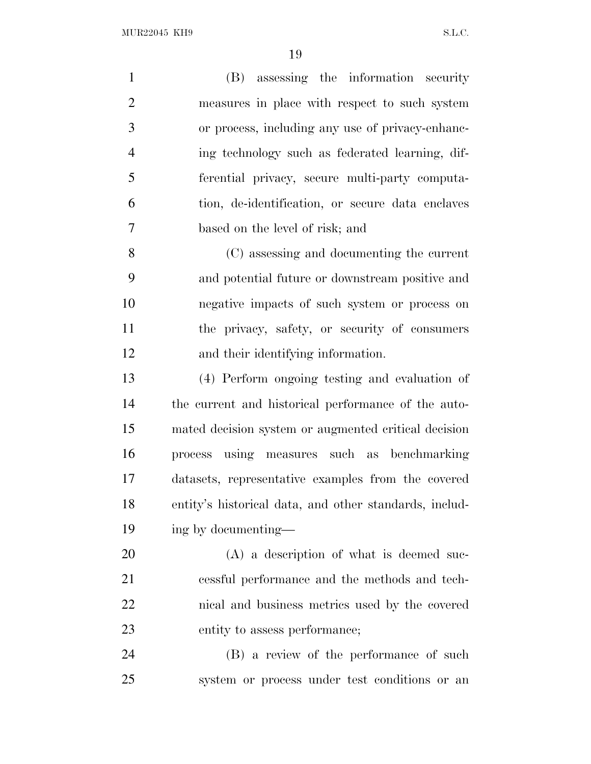| $\mathbf{1}$   | (B) assessing the information security                 |
|----------------|--------------------------------------------------------|
| $\overline{2}$ | measures in place with respect to such system          |
| 3              | or process, including any use of privacy-enhanc-       |
| $\overline{4}$ | ing technology such as federated learning, dif-        |
| 5              | ferential privacy, secure multi-party computa-         |
| 6              | tion, de-identification, or secure data enclaves       |
| 7              | based on the level of risk; and                        |
| 8              | (C) assessing and documenting the current              |
| 9              | and potential future or downstream positive and        |
| 10             | negative impacts of such system or process on          |
| 11             | the privacy, safety, or security of consumers          |
| 12             | and their identifying information.                     |
| 13             | (4) Perform ongoing testing and evaluation of          |
| 14             | the current and historical performance of the auto-    |
| 15             | mated decision system or augmented critical decision   |
| 16             | process using measures such as benchmarking            |
| 17             | datasets, representative examples from the covered     |
| 18             | entity's historical data, and other standards, includ- |
| 19             | ing by documenting—                                    |
| 20             | $(A)$ a description of what is deemed suc-             |
| 21             | essful performance and the methods and tech-           |
| 22             | nical and business metrics used by the covered         |
| 23             | entity to assess performance;                          |
| 24             | (B) a review of the performance of such                |
| 25             | system or process under test conditions or an          |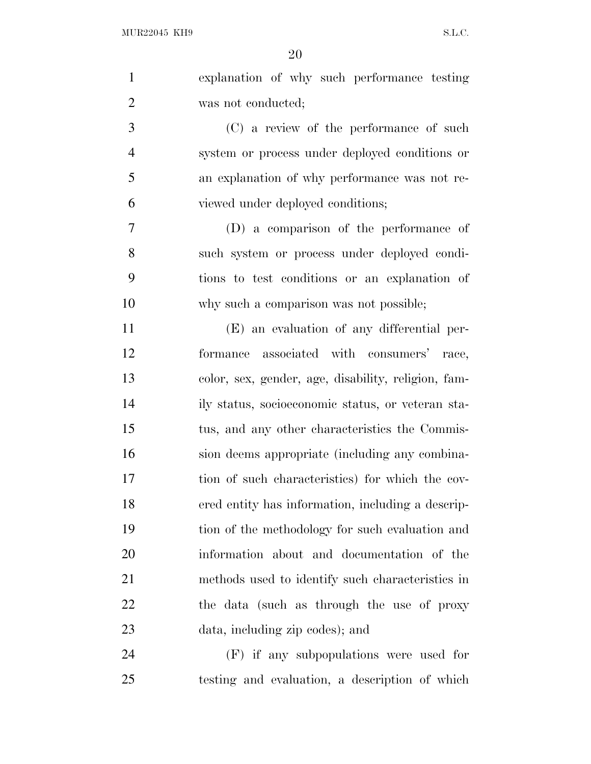| $\mathbf{1}$   | explanation of why such performance testing         |
|----------------|-----------------------------------------------------|
| $\overline{2}$ | was not conducted;                                  |
| 3              | (C) a review of the performance of such             |
| $\overline{4}$ | system or process under deployed conditions or      |
| 5              | an explanation of why performance was not re-       |
| 6              | viewed under deployed conditions;                   |
| 7              | (D) a comparison of the performance of              |
| 8              | such system or process under deployed condi-        |
| 9              | tions to test conditions or an explanation of       |
| 10             | why such a comparison was not possible;             |
| 11             | (E) an evaluation of any differential per-          |
| 12             | formance associated with consumers' race,           |
| 13             | color, sex, gender, age, disability, religion, fam- |
| 14             | ily status, socioeconomic status, or veteran sta-   |
| 15             | tus, and any other characteristics the Commis-      |
| 16             | sion deems appropriate (including any combina-      |
| 17             | tion of such characteristics) for which the cov-    |
| 18             | ered entity has information, including a descrip-   |
| 19             | tion of the methodology for such evaluation and     |
| 20             | information about and documentation of the          |
| 21             | methods used to identify such characteristics in    |
| 22             | the data (such as through the use of proxy          |
| 23             | data, including zip codes); and                     |
| 24             | (F) if any subpopulations were used for             |
| 25             | testing and evaluation, a description of which      |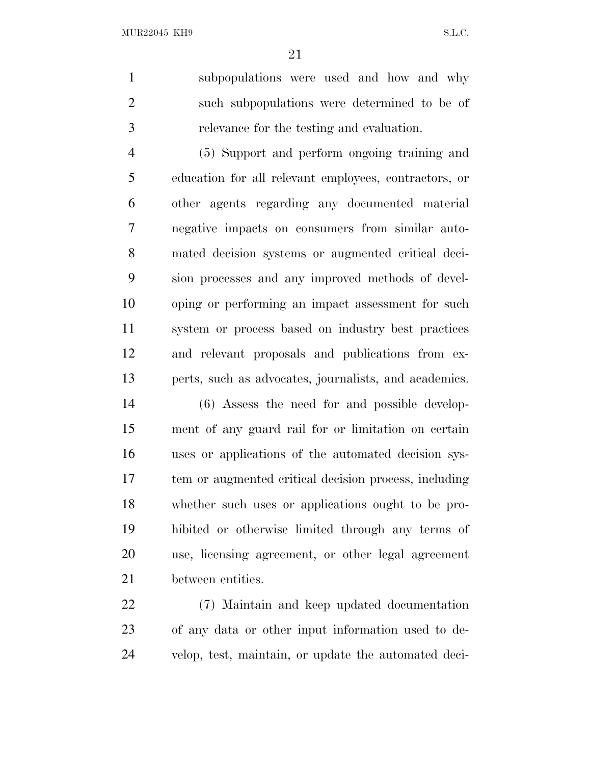subpopulations were used and how and why such subpopulations were determined to be of relevance for the testing and evaluation.

 (5) Support and perform ongoing training and education for all relevant employees, contractors, or other agents regarding any documented material negative impacts on consumers from similar auto- mated decision systems or augmented critical deci- sion processes and any improved methods of devel- oping or performing an impact assessment for such system or process based on industry best practices and relevant proposals and publications from ex-perts, such as advocates, journalists, and academics.

 (6) Assess the need for and possible develop- ment of any guard rail for or limitation on certain uses or applications of the automated decision sys- tem or augmented critical decision process, including whether such uses or applications ought to be pro- hibited or otherwise limited through any terms of use, licensing agreement, or other legal agreement between entities.

 (7) Maintain and keep updated documentation of any data or other input information used to de-velop, test, maintain, or update the automated deci-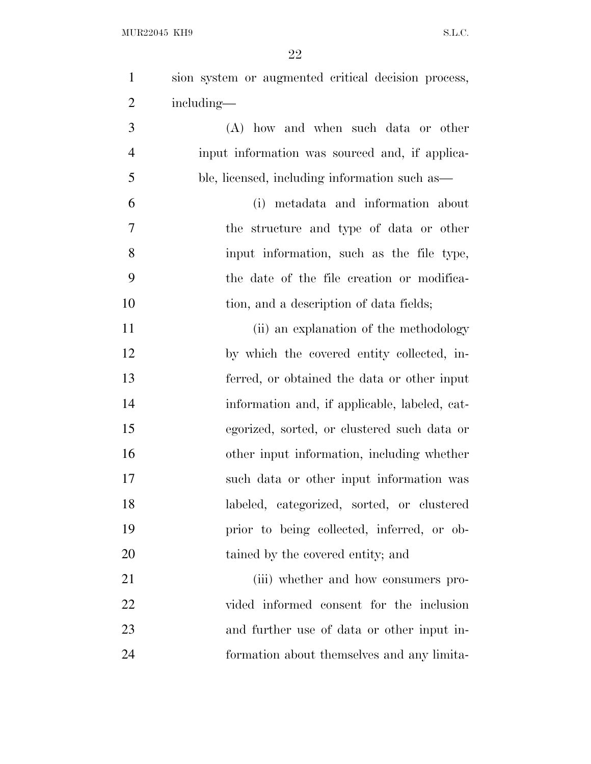| $\mathbf{1}$   | sion system or augmented critical decision process, |
|----------------|-----------------------------------------------------|
| $\overline{2}$ | including—                                          |
| 3              | (A) how and when such data or other                 |
| $\overline{4}$ | input information was sourced and, if applica-      |
| 5              | ble, licensed, including information such as—       |
| 6              | (i) metadata and information about                  |
| $\overline{7}$ | the structure and type of data or other             |
| 8              | input information, such as the file type,           |
| 9              | the date of the file creation or modifica-          |
| 10             | tion, and a description of data fields;             |
| 11             | (ii) an explanation of the methodology              |
| 12             | by which the covered entity collected, in-          |
| 13             | ferred, or obtained the data or other input         |
| 14             | information and, if applicable, labeled, cat-       |
| 15             | egorized, sorted, or clustered such data or         |
| 16             | other input information, including whether          |
| 17             | such data or other input information was            |
| 18             | labeled, categorized, sorted, or clustered          |
| 19             | prior to being collected, inferred, or ob-          |
| 20             | tained by the covered entity; and                   |
| 21             | (iii) whether and how consumers pro-                |
| 22             | vided informed consent for the inclusion            |
| 23             | and further use of data or other input in-          |
| 24             | formation about themselves and any limita-          |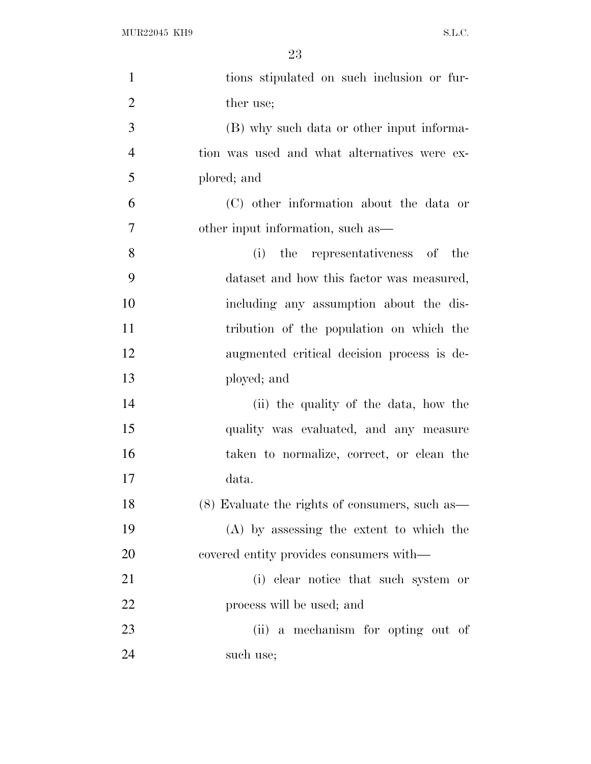| $\mathbf{1}$   | tions stipulated on such inclusion or fur-     |
|----------------|------------------------------------------------|
| $\overline{2}$ | ther use;                                      |
| 3              | (B) why such data or other input informa-      |
| $\overline{4}$ | tion was used and what alternatives were ex-   |
| 5              | plored; and                                    |
| 6              | (C) other information about the data or        |
| 7              | other input information, such as—              |
| 8              | the representativeness of the<br>(i)           |
| 9              | dataset and how this factor was measured,      |
| 10             | including any assumption about the dis-        |
| 11             | tribution of the population on which the       |
| 12             | augmented critical decision process is de-     |
| 13             | ployed; and                                    |
| 14             | (ii) the quality of the data, how the          |
| 15             | quality was evaluated, and any measure         |
| 16             | taken to normalize, correct, or clean the      |
| 17             | data.                                          |
| 18             | (8) Evaluate the rights of consumers, such as— |
| 19             | (A) by assessing the extent to which the       |
| 20             | covered entity provides consumers with—        |
| 21             | (i) clear notice that such system or           |
| 22             | process will be used; and                      |
| 23             | (ii) a mechanism for opting out of             |
| 24             | such use;                                      |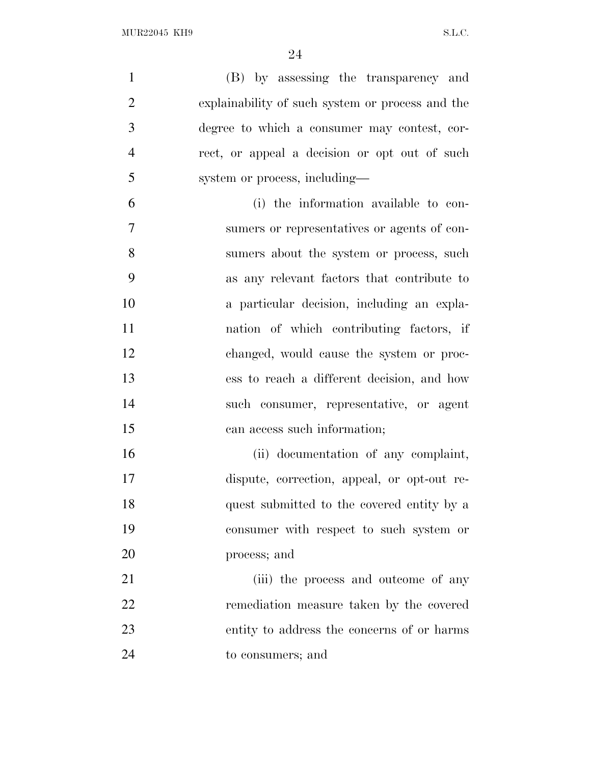(B) by assessing the transparency and explainability of such system or process and the degree to which a consumer may contest, cor- rect, or appeal a decision or opt out of such system or process, including— (i) the information available to con- sumers or representatives or agents of con- sumers about the system or process, such as any relevant factors that contribute to a particular decision, including an expla-nation of which contributing factors, if

 changed, would cause the system or proc- ess to reach a different decision, and how such consumer, representative, or agent can access such information;

 (ii) documentation of any complaint, dispute, correction, appeal, or opt-out re- quest submitted to the covered entity by a consumer with respect to such system or process; and

21 (iii) the process and outcome of any remediation measure taken by the covered entity to address the concerns of or harms to consumers; and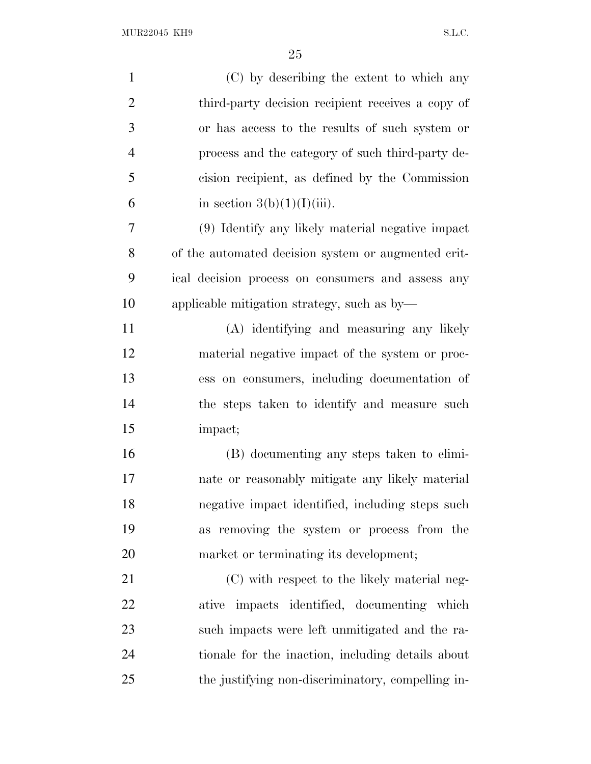| $\mathbf{1}$   | (C) by describing the extent to which any           |
|----------------|-----------------------------------------------------|
| $\overline{2}$ | third-party decision recipient receives a copy of   |
| 3              | or has access to the results of such system or      |
| $\overline{4}$ | process and the category of such third-party de-    |
| 5              | cision recipient, as defined by the Commission      |
| 6              | in section $3(b)(1)(I)(iii)$ .                      |
| $\overline{7}$ | (9) Identify any likely material negative impact    |
| 8              | of the automated decision system or augmented crit- |
| 9              | ical decision process on consumers and assess any   |
| 10             | applicable mitigation strategy, such as by-         |
| 11             | (A) identifying and measuring any likely            |
| 12             | material negative impact of the system or proc-     |
| 13             | ess on consumers, including documentation of        |
| 14             | the steps taken to identify and measure such        |
| 15             | impact;                                             |
| 16             | (B) documenting any steps taken to elimi-           |
| 17             | nate or reasonably mitigate any likely material     |
| 18             | negative impact identified, including steps such    |
| 19             | as removing the system or process from the          |
| 20             | market or terminating its development;              |
| 21             | (C) with respect to the likely material neg-        |
| 22             | ative impacts identified, documenting which         |
| 23             | such impacts were left unmitigated and the ra-      |
| 24             | tionale for the inaction, including details about   |
| 25             | the justifying non-discriminatory, compelling in-   |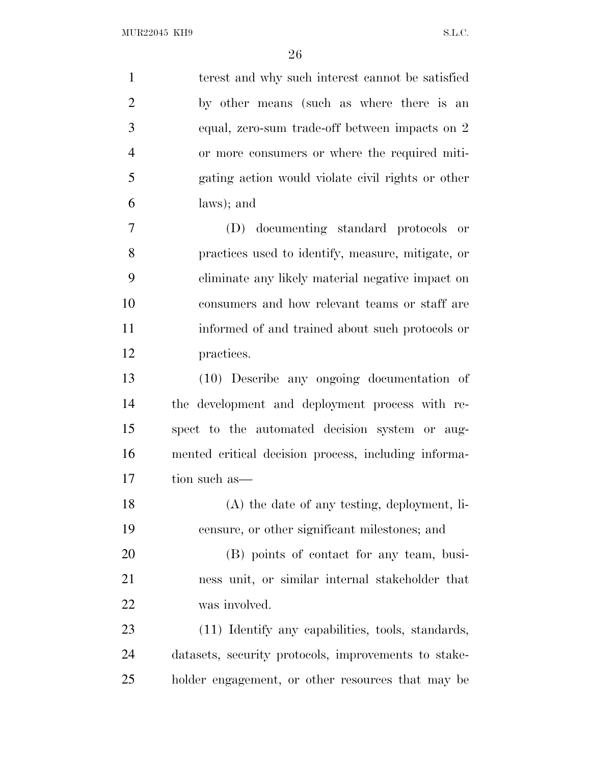| $\mathbf{1}$   | terest and why such interest cannot be satisfied     |
|----------------|------------------------------------------------------|
| $\overline{2}$ | by other means (such as where there is an            |
| 3              | equal, zero-sum trade-off between impacts on 2       |
| $\overline{4}$ | or more consumers or where the required miti-        |
| 5              | gating action would violate civil rights or other    |
| 6              | laws); and                                           |
| $\tau$         | (D) documenting standard protocols or                |
| 8              | practices used to identify, measure, mitigate, or    |
| 9              | eliminate any likely material negative impact on     |
| 10             | consumers and how relevant teams or staff are        |
| 11             | informed of and trained about such protocols or      |
| 12             | practices.                                           |
| 13             | (10) Describe any ongoing documentation of           |
| 14             | the development and deployment process with re-      |
| 15             | spect to the automated decision system or aug-       |
| 16             | mented critical decision process, including informa- |
| 17             | tion such as—                                        |
| 18             | (A) the date of any testing, deployment, li-         |
| 19             | censure, or other significant milestones; and        |
| 20             | (B) points of contact for any team, busi-            |
| 21             | ness unit, or similar internal stakeholder that      |
| 22             | was involved.                                        |
| 23             | (11) Identify any capabilities, tools, standards,    |
| 24             | datasets, security protocols, improvements to stake- |
| 25             | holder engagement, or other resources that may be    |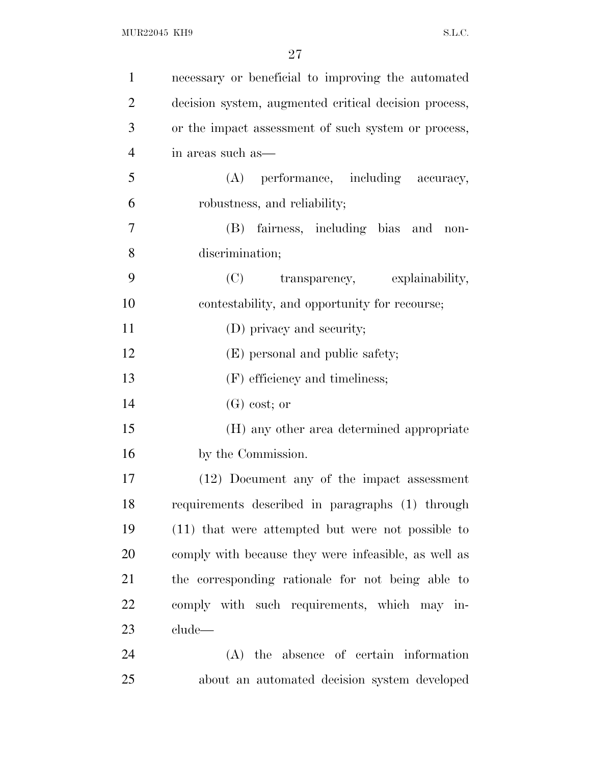| $\mathbf{1}$   | necessary or beneficial to improving the automated    |
|----------------|-------------------------------------------------------|
| $\overline{2}$ | decision system, augmented critical decision process, |
| 3              | or the impact assessment of such system or process,   |
| $\overline{4}$ | in areas such as—                                     |
| 5              | (A) performance, including accuracy,                  |
| 6              | robustness, and reliability;                          |
| 7              | fairness, including bias and non-<br>(B)              |
| 8              | discrimination;                                       |
| 9              | (C) transparency, explainability,                     |
| 10             | contestability, and opportunity for recourse;         |
| 11             | (D) privacy and security;                             |
| 12             | (E) personal and public safety;                       |
| 13             | (F) efficiency and timeliness;                        |
| 14             | $(G)$ cost; or                                        |
| 15             | (H) any other area determined appropriate             |
| 16             | by the Commission.                                    |
| 17             | (12) Document any of the impact assessment            |
| 18             | requirements described in paragraphs (1) through      |
| 19             | (11) that were attempted but were not possible to     |
| 20             | comply with because they were infeasible, as well as  |
| 21             | the corresponding rationale for not being able to     |
| 22             | comply with such requirements, which may in-          |
| 23             | clude—                                                |
| 24             | (A) the absence of certain information                |
|                |                                                       |

- 
- about an automated decision system developed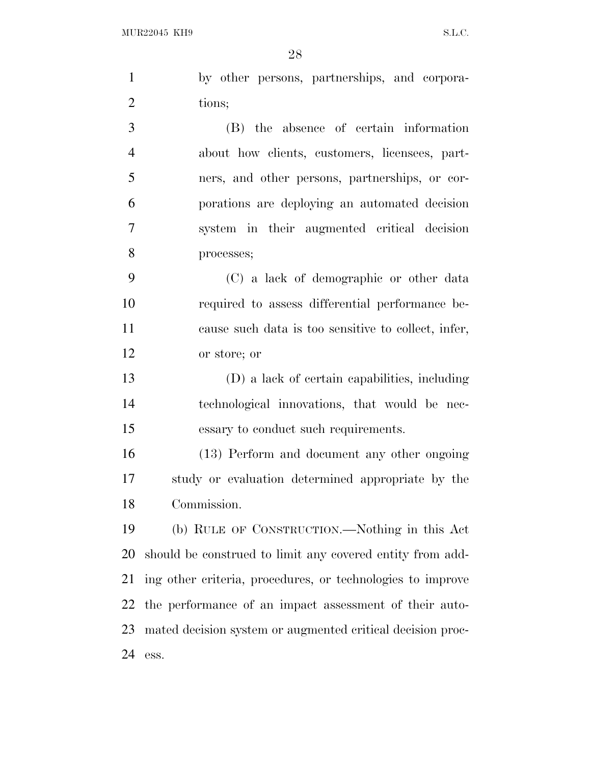ess.

|                | 28                                                         |
|----------------|------------------------------------------------------------|
| $\mathbf{1}$   | by other persons, partnerships, and corpora-               |
| $\overline{2}$ | tions;                                                     |
| 3              | (B) the absence of certain information                     |
| $\overline{4}$ | about how clients, customers, licensees, part-             |
| 5              | ners, and other persons, partnerships, or cor-             |
| 6              | porations are deploying an automated decision              |
| $\tau$         | system in their augmented critical decision                |
| 8              | processes;                                                 |
| 9              | (C) a lack of demographic or other data                    |
| 10             | required to assess differential performance be-            |
| 11             | cause such data is too sensitive to collect, infer,        |
| 12             | or store; or                                               |
| 13             | (D) a lack of certain capabilities, including              |
| 14             | technological innovations, that would be nec-              |
| 15             | essary to conduct such requirements.                       |
| 16             | (13) Perform and document any other ongoing                |
| 17             | study or evaluation determined appropriate by the          |
| 18             | Commission.                                                |
| 19             | (b) RULE OF CONSTRUCTION.—Nothing in this Act              |
| 20             | should be construed to limit any covered entity from add-  |
| 21             | ing other criteria, procedures, or technologies to improve |
| 22             | the performance of an impact assessment of their auto-     |

mated decision system or augmented critical decision proc-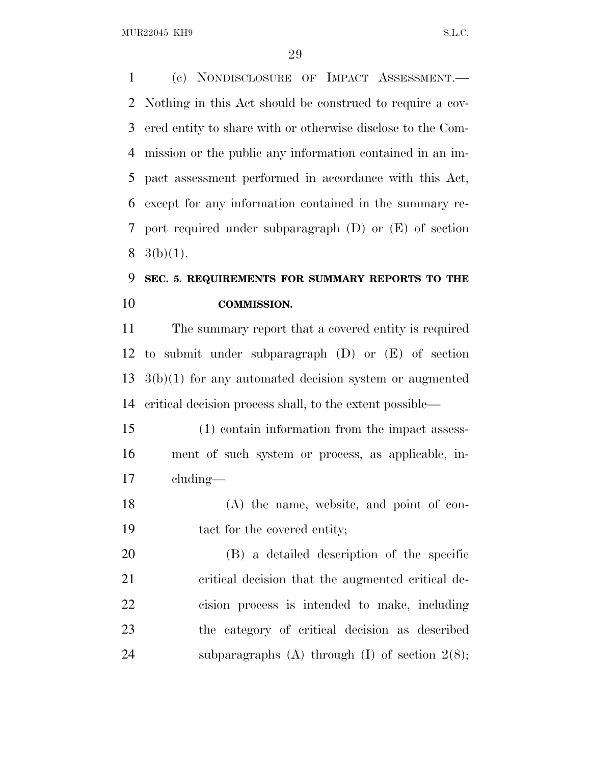MUR22045 KH9 S.L.C.

 (c) NONDISCLOSURE OF IMPACT ASSESSMENT.— Nothing in this Act should be construed to require a cov- ered entity to share with or otherwise disclose to the Com- mission or the public any information contained in an im- pact assessment performed in accordance with this Act, except for any information contained in the summary re- port required under subparagraph (D) or (E) of section  $8 \text{ } 3(b)(1).$ 

## **SEC. 5. REQUIREMENTS FOR SUMMARY REPORTS TO THE COMMISSION.**

 The summary report that a covered entity is required to submit under subparagraph (D) or (E) of section 3(b)(1) for any automated decision system or augmented critical decision process shall, to the extent possible—

 (1) contain information from the impact assess- ment of such system or process, as applicable, in-cluding—

 (A) the name, website, and point of con-tact for the covered entity;

 (B) a detailed description of the specific critical decision that the augmented critical de- cision process is intended to make, including the category of critical decision as described subparagraphs (A) through (I) of section 2(8);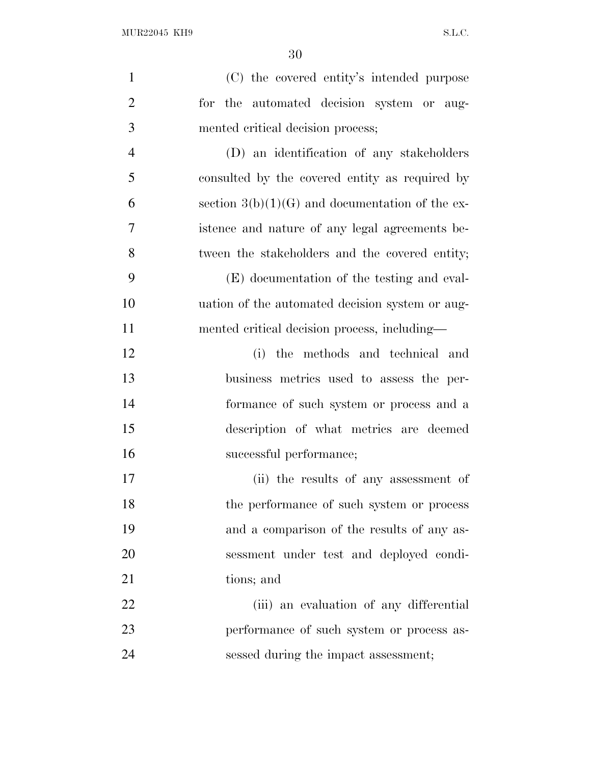| $\mathbf{1}$   | (C) the covered entity's intended purpose         |
|----------------|---------------------------------------------------|
| $\overline{2}$ | for the automated decision system or aug-         |
| 3              | mented critical decision process;                 |
| $\overline{4}$ | (D) an identification of any stakeholders         |
| 5              | consulted by the covered entity as required by    |
| 6              | section $3(b)(1)(G)$ and documentation of the ex- |
| 7              | istence and nature of any legal agreements be-    |
| 8              | tween the stakeholders and the covered entity;    |
| 9              | (E) documentation of the testing and eval-        |
| 10             | uation of the automated decision system or aug-   |
| 11             | mented critical decision process, including—      |
| 12             | (i) the methods and technical and                 |
| 13             | business metrics used to assess the per-          |
| 14             | formance of such system or process and a          |
| 15             | description of what metrics are deemed            |
| 16             | successful performance;                           |
| 17             | (ii) the results of any assessment of             |
| 18             | the performance of such system or process         |
| 19             | and a comparison of the results of any as-        |
| 20             | sessment under test and deployed condi-           |
| 21             | tions; and                                        |
| 22             | (iii) an evaluation of any differential           |
| 23             | performance of such system or process as-         |
| 24             | sessed during the impact assessment;              |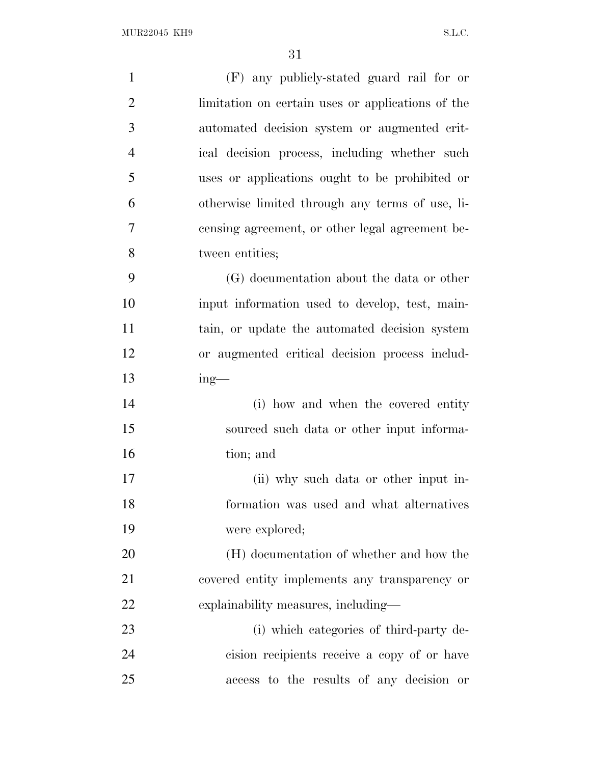| $\mathbf{1}$   | (F) any publicly-stated guard rail for or         |
|----------------|---------------------------------------------------|
| $\overline{2}$ | limitation on certain uses or applications of the |
| 3              |                                                   |
|                | automated decision system or augmented crit-      |
| $\overline{4}$ | ical decision process, including whether such     |
| 5              | uses or applications ought to be prohibited or    |
| 6              | otherwise limited through any terms of use, li-   |
| 7              | censing agreement, or other legal agreement be-   |
| 8              | tween entities;                                   |
| 9              | (G) documentation about the data or other         |
| 10             | input information used to develop, test, main-    |
| 11             | tain, or update the automated decision system     |
| 12             | or augmented critical decision process includ-    |
| 13             | $ing$ —                                           |
| 14             | (i) how and when the covered entity               |
| 15             | sourced such data or other input informa-         |
| 16             | tion; and                                         |
| 17             | (ii) why such data or other input in-             |
| 18             | formation was used and what alternatives          |
| 19             | were explored;                                    |
| 20             | (H) documentation of whether and how the          |
| 21             | covered entity implements any transparency or     |
| 22             | explainability measures, including—               |
| 23             | (i) which categories of third-party de-           |
| 24             | cision recipients receive a copy of or have       |
| 25             | access to the results of any decision or          |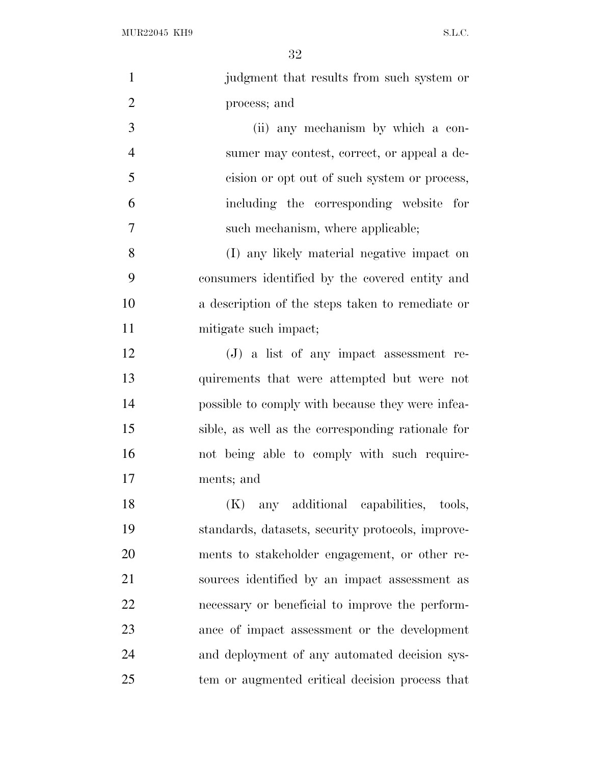$\rm MUR22045\,~~KH9 \qquad \qquad S.L.C.$ 

| $\mathbf{1}$   | judgment that results from such system or         |
|----------------|---------------------------------------------------|
| $\overline{2}$ | process; and                                      |
| 3              | (ii) any mechanism by which a con-                |
| $\overline{4}$ | sumer may contest, correct, or appeal a de-       |
| 5              | cision or opt out of such system or process,      |
| 6              | including the corresponding website for           |
| 7              | such mechanism, where applicable;                 |
| 8              | (I) any likely material negative impact on        |
| 9              | consumers identified by the covered entity and    |
| 10             | a description of the steps taken to remediate or  |
| 11             | mitigate such impact;                             |
| 12             | $(J)$ a list of any impact assessment re-         |
| 13             | quirements that were attempted but were not       |
| 14             | possible to comply with because they were infea-  |
| 15             | sible, as well as the corresponding rationale for |
| 16             | not being able to comply with such require-       |
| 17             | ments; and                                        |
| 18             | any additional capabilities, tools,<br>(K)        |
| 19             | standards, datasets, security protocols, improve- |
| 20             | ments to stakeholder engagement, or other re-     |
| 21             | sources identified by an impact assessment as     |
| 22             | necessary or beneficial to improve the perform-   |
| 23             | ance of impact assessment or the development      |
| 24             | and deployment of any automated decision sys-     |
| 25             | tem or augmented critical decision process that   |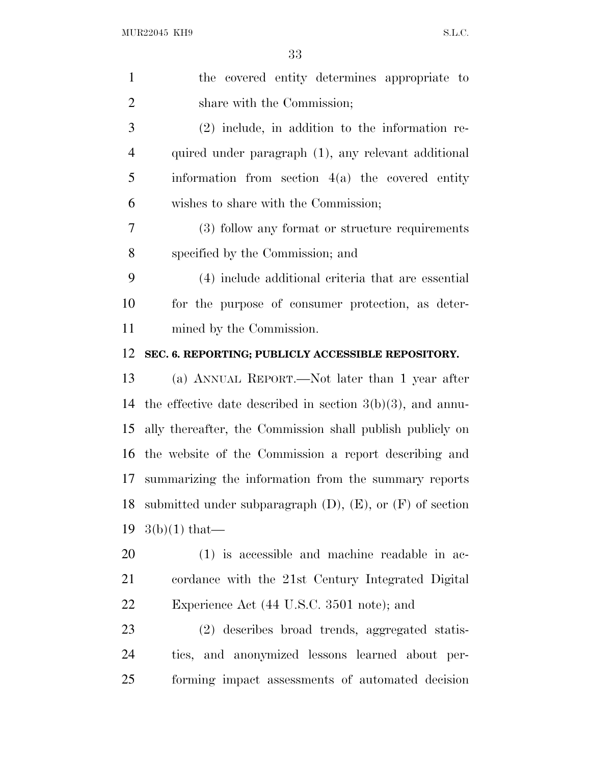| $\mathbf{1}$   | the covered entity determines appropriate to                     |
|----------------|------------------------------------------------------------------|
| $\overline{2}$ | share with the Commission;                                       |
| 3              | $(2)$ include, in addition to the information re-                |
| $\overline{4}$ | quired under paragraph (1), any relevant additional              |
| 5              | information from section $4(a)$ the covered entity               |
| 6              | wishes to share with the Commission;                             |
| 7              | (3) follow any format or structure requirements                  |
| 8              | specified by the Commission; and                                 |
| 9              | (4) include additional criteria that are essential               |
| 10             | for the purpose of consumer protection, as deter-                |
| 11             | mined by the Commission.                                         |
| 12             | SEC. 6. REPORTING; PUBLICLY ACCESSIBLE REPOSITORY.               |
| 13             | (a) ANNUAL REPORT.—Not later than 1 year after                   |
| 14             | the effective date described in section $3(b)(3)$ , and annu-    |
| 15             | ally thereafter, the Commission shall publish publicly on        |
| 16             | the website of the Commission a report describing and            |
| 17             | summarizing the information from the summary reports             |
| 18             | submitted under subparagraph $(D)$ , $(E)$ , or $(F)$ of section |
| 19             | $3(b)(1)$ that—                                                  |
| 20             | $(1)$ is accessible and machine readable in ac-                  |
| 21             | cordance with the 21st Century Integrated Digital                |
| 22             | Experience Act (44 U.S.C. 3501 note); and                        |
| 23             | (2) describes broad trends, aggregated statis-                   |
| 24             | tics, and anonymized lessons learned about per-                  |
| 25             | forming impact assessments of automated decision                 |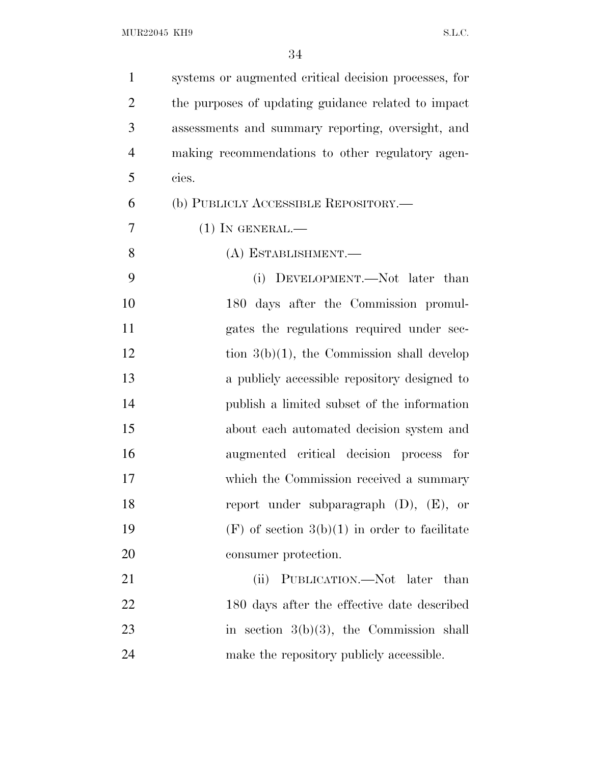| $\mathbf{1}$            | systems or augmented critical decision processes, for |
|-------------------------|-------------------------------------------------------|
| $\overline{2}$          | the purposes of updating guidance related to impact   |
| 3                       | assessments and summary reporting, oversight, and     |
| $\overline{4}$          | making recommendations to other regulatory agen-      |
| 5<br>cies.              |                                                       |
| 6                       | (b) PUBLICLY ACCESSIBLE REPOSITORY.—                  |
| 7<br>$(1)$ In GENERAL.— |                                                       |
| 8                       | (A) ESTABLISHMENT.-                                   |
| 9                       | (i) DEVELOPMENT.—Not later than                       |
| 10                      | 180 days after the Commission promul-                 |
| 11                      | gates the regulations required under sec-             |
| 12                      | tion $3(b)(1)$ , the Commission shall develop         |
| 13                      | a publicly accessible repository designed to          |
| 14                      | publish a limited subset of the information           |
| 15                      | about each automated decision system and              |
| 16                      | augmented critical decision process for               |
| 17                      | which the Commission received a summary               |
| 18                      | report under subparagraph $(D)$ , $(E)$ , or          |
| 19                      | $(F)$ of section $3(b)(1)$ in order to facilitate     |
| 20                      | consumer protection.                                  |
| 21                      | PUBLICATION.—Not later than<br>(ii)                   |
| 22                      | 180 days after the effective date described           |
| 23                      | in section $3(b)(3)$ , the Commission shall           |
| 24                      | make the repository publicly accessible.              |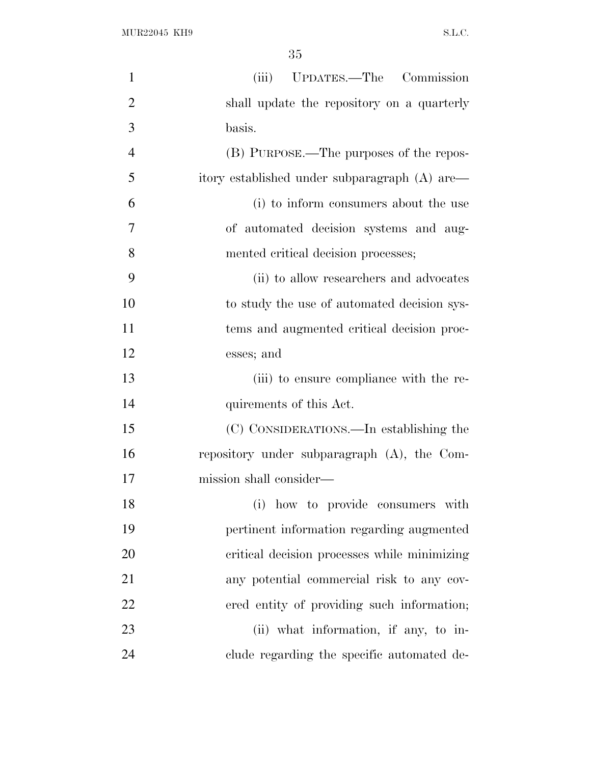| $\mathbf{1}$   | (iii) UPDATES.—The Commission                  |
|----------------|------------------------------------------------|
| $\overline{2}$ | shall update the repository on a quarterly     |
| 3              | basis.                                         |
| $\overline{4}$ | (B) PURPOSE.—The purposes of the repos-        |
| 5              | itory established under subparagraph (A) are-  |
| 6              | (i) to inform consumers about the use          |
| 7              | of automated decision systems and aug-         |
| 8              | mented critical decision processes;            |
| 9              | (ii) to allow researchers and advocates        |
| 10             | to study the use of automated decision sys-    |
| 11             | tems and augmented critical decision proc-     |
| 12             | esses; and                                     |
| 13             | (iii) to ensure compliance with the re-        |
| 14             | quirements of this Act.                        |
| 15             | (C) CONSIDERATIONS.—In establishing the        |
| 16             | repository under subparagraph $(A)$ , the Com- |
| 17             | mission shall consider—                        |
| 18             | (i) how to provide consumers with              |
| 19             | pertinent information regarding augmented      |
| 20             | critical decision processes while minimizing   |
| 21             | any potential commercial risk to any cov-      |
| 22             | ered entity of providing such information;     |
| 23             | (ii) what information, if any, to in-          |
| 24             | clude regarding the specific automated de-     |
|                |                                                |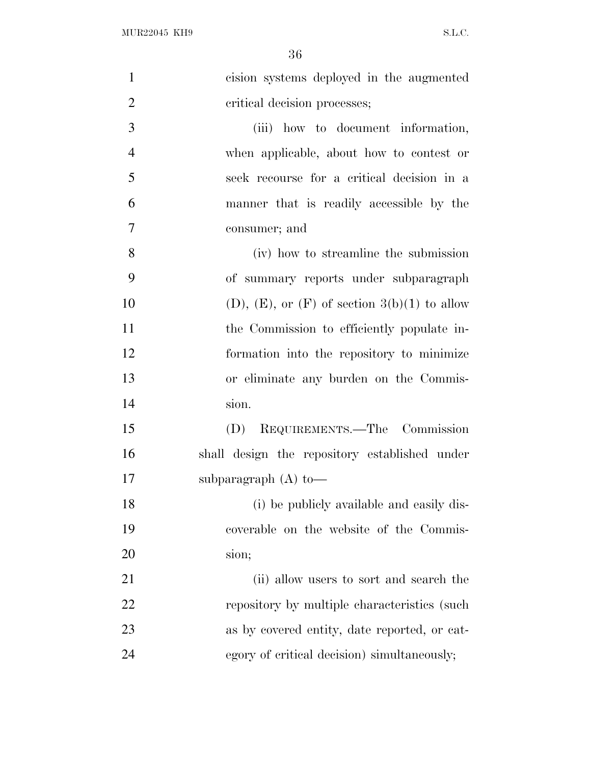| cision systems deployed in the augmented               |
|--------------------------------------------------------|
| critical decision processes;                           |
| (iii) how to document information,                     |
| when applicable, about how to contest or               |
| seek recourse for a critical decision in a             |
| manner that is readily accessible by the               |
| consumer; and                                          |
| (iv) how to streamline the submission                  |
| of summary reports under subparagraph                  |
| $(D)$ , $(E)$ , or $(F)$ of section $3(b)(1)$ to allow |
| the Commission to efficiently populate in-             |
| formation into the repository to minimize              |
| or eliminate any burden on the Commis-                 |
| sion.                                                  |
| (D) REQUIREMENTS.—The Commission                       |
| shall design the repository established under          |
| subparagraph $(A)$ to —                                |
| (i) be publicly available and easily dis-              |
| coverable on the website of the Commis-                |
| sion;                                                  |
| (ii) allow users to sort and search the                |
| repository by multiple characteristics (such           |
| as by covered entity, date reported, or cat-           |
| egory of critical decision) simultaneously;            |
|                                                        |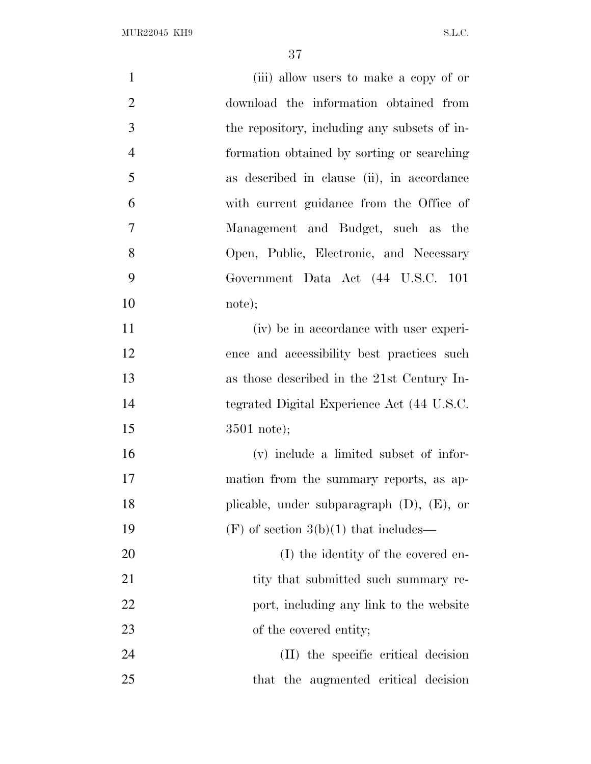| $\mathbf{1}$   | (iii) allow users to make a copy of or       |
|----------------|----------------------------------------------|
| $\overline{2}$ | download the information obtained from       |
| 3              | the repository, including any subsets of in- |
| $\overline{4}$ | formation obtained by sorting or searching   |
| 5              | as described in clause (ii), in accordance   |
| 6              | with current guidance from the Office of     |
| 7              | Management and Budget, such as the           |
| 8              | Open, Public, Electronic, and Necessary      |
| 9              | Government Data Act (44 U.S.C. 101           |
| 10             | note);                                       |
| 11             | (iv) be in accordance with user experi-      |
| 12             | ence and accessibility best practices such   |
| 13             | as those described in the 21st Century In-   |
| 14             | tegrated Digital Experience Act (44 U.S.C.   |
| 15             | $3501$ note);                                |
| 16             | (v) include a limited subset of infor-       |
| 17             | mation from the summary reports, as ap-      |
| 18             | plicable, under subparagraph (D), (E), or    |
| 19             | $(F)$ of section 3(b)(1) that includes—      |
| 20             | (I) the identity of the covered en-          |
| 21             | tity that submitted such summary re-         |
| 22             | port, including any link to the website      |
| 23             | of the covered entity;                       |
| 24             | (II) the specific critical decision          |
| 25             | that the augmented critical decision         |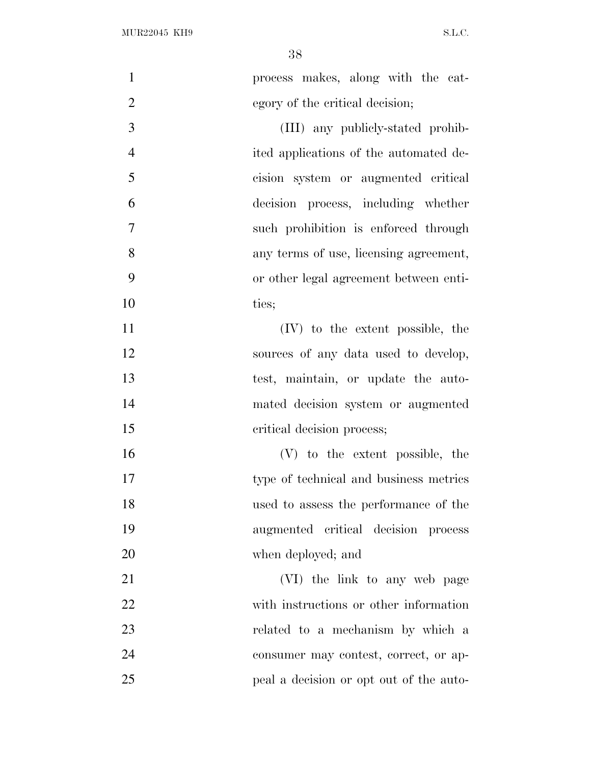| $\mathbf{1}$   | process makes, along with the cat-      |
|----------------|-----------------------------------------|
| $\overline{2}$ | egory of the critical decision;         |
| 3              | (III) any publicly-stated prohib-       |
| $\overline{4}$ | ited applications of the automated de-  |
| 5              | cision system or augmented critical     |
| 6              | decision process, including whether     |
| $\tau$         | such prohibition is enforced through    |
| 8              | any terms of use, licensing agreement,  |
| 9              | or other legal agreement between enti-  |
| 10             | ties;                                   |
| 11             | (IV) to the extent possible, the        |
| 12             | sources of any data used to develop,    |
| 13             | test, maintain, or update the auto-     |
| 14             | mated decision system or augmented      |
| 15             | critical decision process;              |
| 16             | (V) to the extent possible, the         |
| 17             | type of technical and business metrics  |
| 18             | used to assess the performance of the   |
| 19             | augmented critical decision process     |
| 20             | when deployed; and                      |
| 21             | (VI) the link to any web page           |
| 22             | with instructions or other information  |
| 23             | related to a mechanism by which a       |
| 24             | consumer may contest, correct, or ap-   |
| 25             | peal a decision or opt out of the auto- |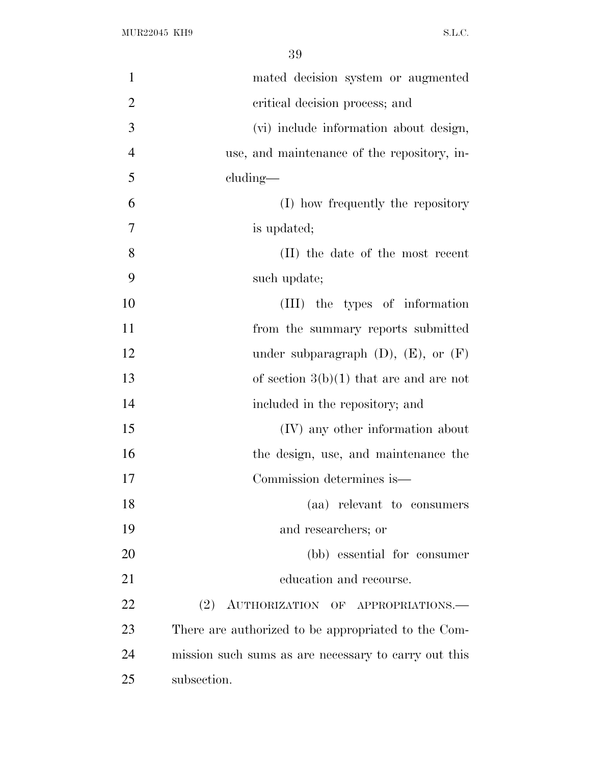| $\mathbf{1}$   | mated decision system or augmented                   |
|----------------|------------------------------------------------------|
| $\overline{2}$ | critical decision process; and                       |
| 3              | (vi) include information about design,               |
| $\overline{4}$ | use, and maintenance of the repository, in-          |
| 5              | cluding-                                             |
| 6              | (I) how frequently the repository                    |
| 7              | is updated;                                          |
| 8              | (II) the date of the most recent                     |
| 9              | such update;                                         |
| 10             | (III) the types of information                       |
| 11             | from the summary reports submitted                   |
| 12             | under subparagraph $(D)$ , $(E)$ , or $(F)$          |
| 13             | of section $3(b)(1)$ that are and are not            |
| 14             | included in the repository; and                      |
| 15             | (IV) any other information about                     |
| 16             | the design, use, and maintenance the                 |
| 17             | Commission determines is—                            |
| 18             | (aa) relevant to consumers                           |
| 19             | and researchers; or                                  |
| 20             | (bb) essential for consumer                          |
| 21             | education and recourse.                              |
| 22             | (2) AUTHORIZATION OF APPROPRIATIONS.                 |
| 23             | There are authorized to be appropriated to the Com-  |
| 24             | mission such sums as are necessary to carry out this |
| 25             | subsection.                                          |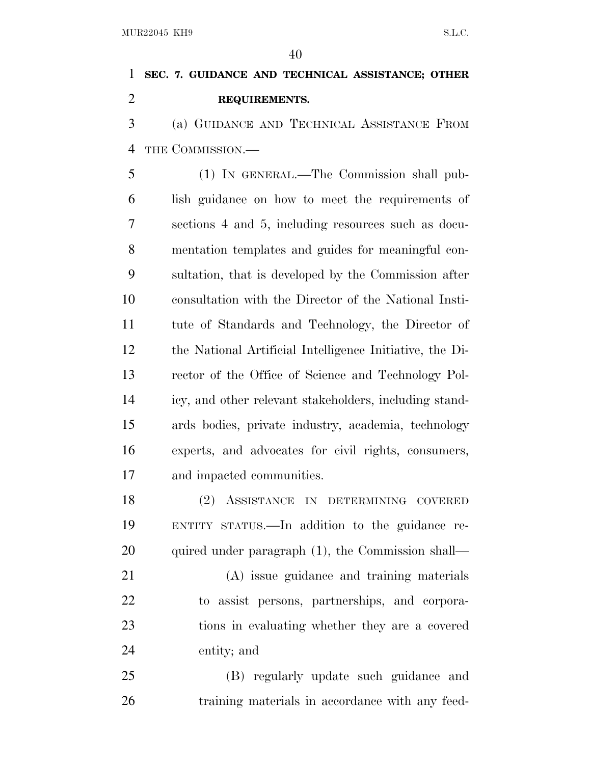# **SEC. 7. GUIDANCE AND TECHNICAL ASSISTANCE; OTHER REQUIREMENTS.**

 (a) GUIDANCE AND TECHNICAL ASSISTANCE FROM THE COMMISSION.—

 (1) IN GENERAL.—The Commission shall pub- lish guidance on how to meet the requirements of sections 4 and 5, including resources such as docu- mentation templates and guides for meaningful con- sultation, that is developed by the Commission after consultation with the Director of the National Insti- tute of Standards and Technology, the Director of the National Artificial Intelligence Initiative, the Di- rector of the Office of Science and Technology Pol- icy, and other relevant stakeholders, including stand- ards bodies, private industry, academia, technology experts, and advocates for civil rights, consumers, and impacted communities.

 (2) ASSISTANCE IN DETERMINING COVERED ENTITY STATUS.—In addition to the guidance re-20 quired under paragraph (1), the Commission shall—

 (A) issue guidance and training materials to assist persons, partnerships, and corpora- tions in evaluating whether they are a covered entity; and

 (B) regularly update such guidance and training materials in accordance with any feed-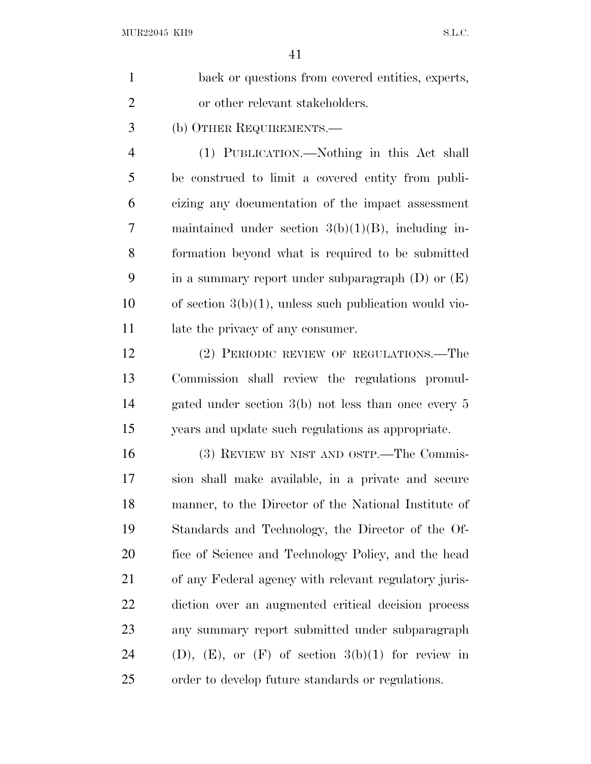| $\mathbf{1}$   | back or questions from covered entities, experts,           |
|----------------|-------------------------------------------------------------|
| $\overline{2}$ | or other relevant stakeholders.                             |
| 3              | (b) OTHER REQUIREMENTS.—                                    |
| 4              | (1) PUBLICATION.—Nothing in this Act shall                  |
| 5              | be construed to limit a covered entity from publi-          |
| 6              | cizing any documentation of the impact assessment           |
| 7              | maintained under section $3(b)(1)(B)$ , including in-       |
| 8              | formation beyond what is required to be submitted           |
| 9              | in a summary report under subparagraph $(D)$ or $(E)$       |
| 10             | of section $3(b)(1)$ , unless such publication would vio-   |
| 11             | late the privacy of any consumer.                           |
| 12             | (2) PERIODIC REVIEW OF REGULATIONS.—The                     |
| 13             | Commission shall review the regulations promul-             |
| 14             | gated under section $3(b)$ not less than once every 5       |
| 15             | years and update such regulations as appropriate.           |
| 16             | (3) REVIEW BY NIST AND OSTP.—The Commis-                    |
| 17             | sion shall make available, in a private and secure          |
| 18             | manner, to the Director of the National Institute of        |
| 19             | Standards and Technology, the Director of the Of-           |
| 20             | fice of Science and Technology Policy, and the head         |
| 21             | of any Federal agency with relevant regulatory juris-       |
| 22             | diction over an augmented critical decision process         |
| 23             | any summary report submitted under subparagraph             |
| 24             | $(D)$ , $(E)$ , or $(F)$ of section $3(b)(1)$ for review in |
| 25             | order to develop future standards or regulations.           |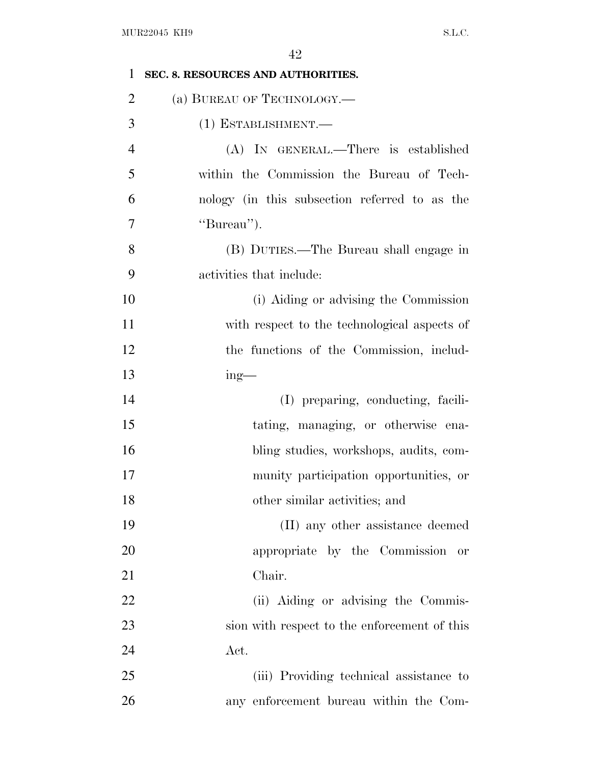| $\mathbf{1}$   | SEC. 8. RESOURCES AND AUTHORITIES.            |
|----------------|-----------------------------------------------|
| $\overline{2}$ | (a) BUREAU OF TECHNOLOGY.—                    |
| 3              | (1) ESTABLISHMENT.-                           |
| $\overline{4}$ | (A) IN GENERAL.—There is established          |
| 5              | within the Commission the Bureau of Tech-     |
| 6              | nology (in this subsection referred to as the |
| 7              | "Bureau").                                    |
| 8              | (B) DUTIES.—The Bureau shall engage in        |
| 9              | activities that include:                      |
| 10             | (i) Aiding or advising the Commission         |
| 11             | with respect to the technological aspects of  |
| 12             | the functions of the Commission, includ-      |
| 13             | $ing$ —                                       |
| 14             | (I) preparing, conducting, facili-            |
| 15             | tating, managing, or otherwise ena-           |
| 16             | bling studies, workshops, audits, com-        |
| 17             | munity participation opportunities, or        |
| 18             | other similar activities; and                 |
| 19             | (II) any other assistance deemed              |
| 20             | appropriate by the Commission or              |
| 21             | Chair.                                        |
| 22             | (ii) Aiding or advising the Commis-           |
| 23             | sion with respect to the enforcement of this  |
| 24             | Act.                                          |
| 25             | (iii) Providing technical assistance to       |
| 26             | any enforcement bureau within the Com-        |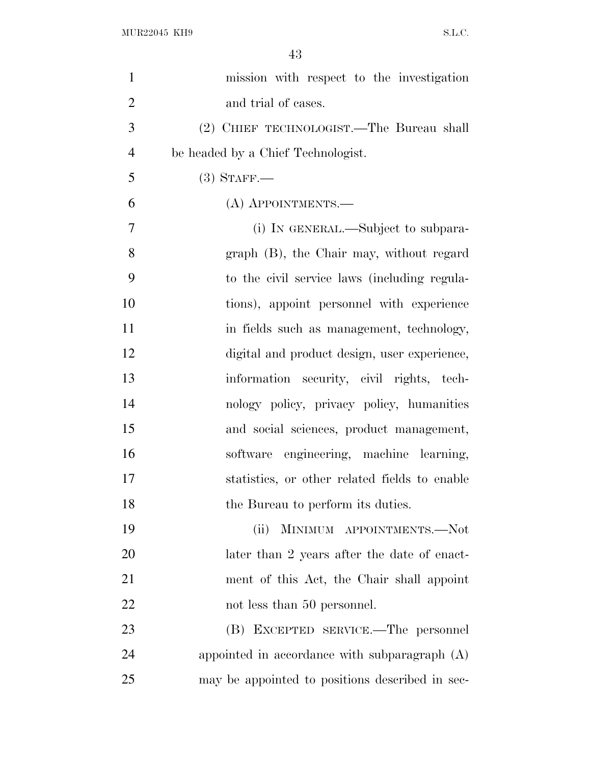| mission with respect to the investigation       |
|-------------------------------------------------|
| and trial of cases.                             |
| (2) CHIEF TECHNOLOGIST.—The Bureau shall        |
| be headed by a Chief Technologist.              |
| $(3)$ STAFF.—                                   |
| (A) APPOINTMENTS.—                              |
| (i) IN GENERAL.—Subject to subpara-             |
| graph (B), the Chair may, without regard        |
| to the civil service laws (including regula-    |
| tions), appoint personnel with experience       |
| in fields such as management, technology,       |
| digital and product design, user experience,    |
| information security, civil rights, tech-       |
| nology policy, privacy policy, humanities       |
| and social sciences, product management,        |
| software engineering, machine learning,         |
| statistics, or other related fields to enable   |
| the Bureau to perform its duties.               |
| MINIMUM APPOINTMENTS.-Not<br>(ii)               |
| later than 2 years after the date of enact-     |
| ment of this Act, the Chair shall appoint       |
| not less than 50 personnel.                     |
| (B) EXCEPTED SERVICE.—The personnel             |
| appointed in accordance with subparagraph $(A)$ |
| may be appointed to positions described in sec- |
|                                                 |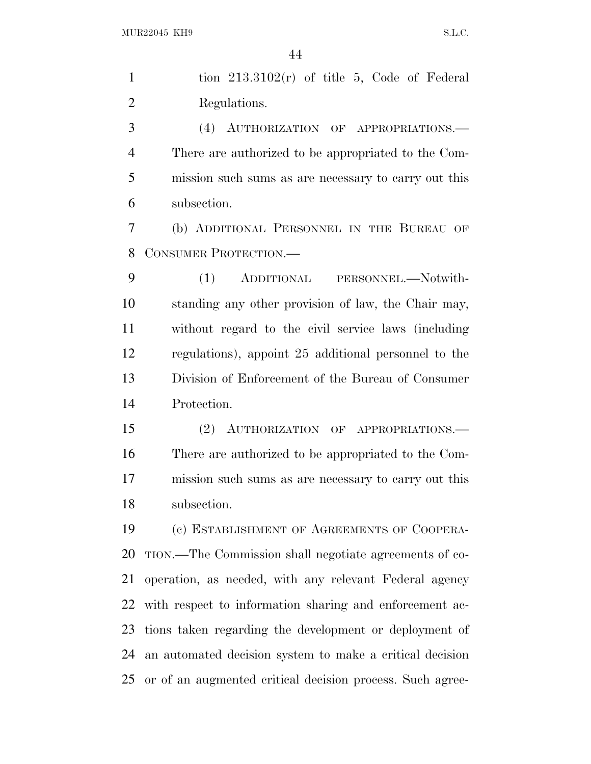|                | 44                                                     |
|----------------|--------------------------------------------------------|
| $\mathbf{1}$   | tion $213.3102(r)$ of title 5, Code of Federal         |
| $\overline{2}$ | Regulations.                                           |
| 3              | (4) AUTHORIZATION OF APPROPRIATIONS.                   |
| 4              | There are authorized to be appropriated to the Com-    |
| 5              | mission such sums as are necessary to carry out this   |
| 6              | subsection.                                            |
| 7              | (b) ADDITIONAL PERSONNEL IN THE BUREAU OF              |
| 8              | CONSUMER PROTECTION.                                   |
| 9              | (1) ADDITIONAL PERSONNEL.-Notwith-                     |
| 10             | standing any other provision of law, the Chair may,    |
| 11             | without regard to the civil service laws (including    |
| 12             | regulations), appoint 25 additional personnel to the   |
| 13             | Division of Enforcement of the Bureau of Consumer      |
| 14             | Protection.                                            |
| 15             | (2) AUTHORIZATION OF APPROPRIATIONS.                   |
| 16             | There are authorized to be appropriated to the Com-    |
| 17             | mission such sums as are necessary to carry out this   |
| 18             | subsection.                                            |
| 19             | (c) ESTABLISHMENT OF AGREEMENTS OF COOPERA-            |
| 20             | TION.—The Commission shall negotiate agreements of co- |
| 21             | operation, as needed, with any relevant Federal agency |

with respect to information sharing and enforcement ac-

tions taken regarding the development or deployment of

an automated decision system to make a critical decision

or of an augmented critical decision process. Such agree-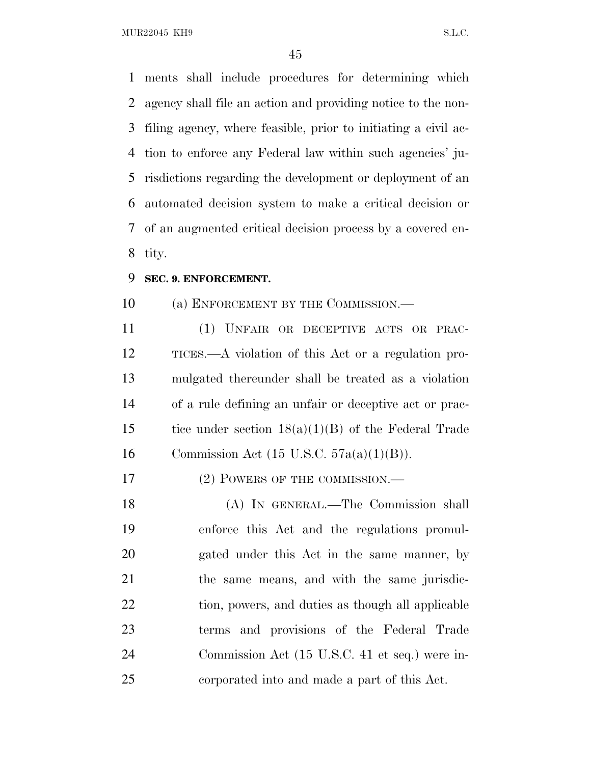MUR22045 KH9 S.L.C.

 ments shall include procedures for determining which agency shall file an action and providing notice to the non- filing agency, where feasible, prior to initiating a civil ac- tion to enforce any Federal law within such agencies' ju- risdictions regarding the development or deployment of an automated decision system to make a critical decision or of an augmented critical decision process by a covered en-tity.

#### **SEC. 9. ENFORCEMENT.**

10 (a) ENFORCEMENT BY THE COMMISSION.—

 (1) UNFAIR OR DECEPTIVE ACTS OR PRAC- TICES.—A violation of this Act or a regulation pro- mulgated thereunder shall be treated as a violation of a rule defining an unfair or deceptive act or prac- tice under section 18(a)(1)(B) of the Federal Trade 16 Commission Act (15 U.S.C.  $57a(a)(1)(B)$ ).

17 (2) POWERS OF THE COMMISSION.—

 (A) IN GENERAL.—The Commission shall enforce this Act and the regulations promul- gated under this Act in the same manner, by the same means, and with the same jurisdic-22 tion, powers, and duties as though all applicable terms and provisions of the Federal Trade Commission Act (15 U.S.C. 41 et seq.) were in-corporated into and made a part of this Act.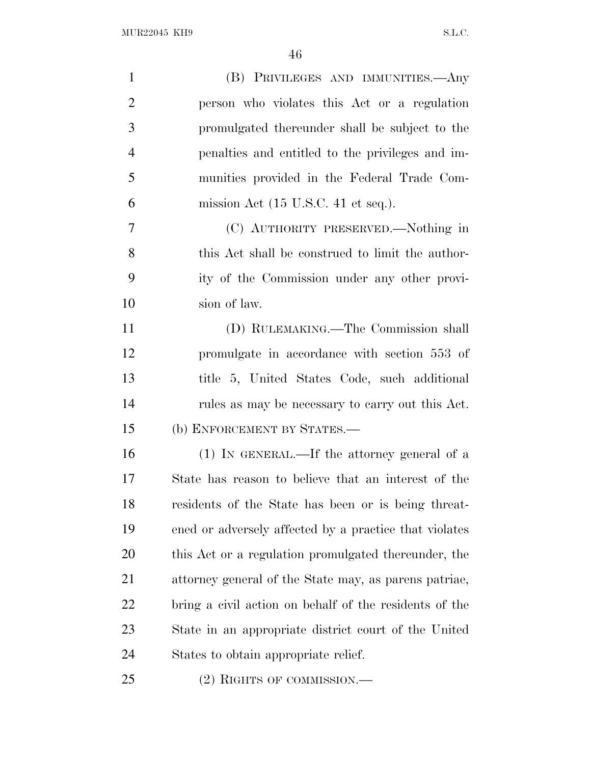| $\mathbf{1}$   | (B) PRIVILEGES AND IMMUNITIES.—Any                     |
|----------------|--------------------------------------------------------|
| $\overline{2}$ | person who violates this Act or a regulation           |
| 3              | promulgated thereunder shall be subject to the         |
| $\overline{4}$ | penalties and entitled to the privileges and im-       |
| 5              | munities provided in the Federal Trade Com-            |
| 6              | mission Act $(15 \text{ U.S.C. } 41 \text{ et seq.}).$ |
| 7              | (C) AUTHORITY PRESERVED.—Nothing in                    |
| 8              | this Act shall be construed to limit the author-       |
| 9              | ity of the Commission under any other provi-           |
| 10             | sion of law.                                           |
| 11             | (D) RULEMAKING.—The Commission shall                   |
| 12             | promulgate in accordance with section 553 of           |
| 13             | title 5, United States Code, such additional           |
| 14             | rules as may be necessary to carry out this Act.       |
| 15             | (b) ENFORCEMENT BY STATES.-                            |
| 16             | $(1)$ In GENERAL.—If the attorney general of a         |
| 17             | State has reason to believe that an interest of the    |
| 18             | residents of the State has been or is being threat-    |
| 19             | ened or adversely affected by a practice that violates |
| 20             | this Act or a regulation promulgated thereunder, the   |
| 21             | attorney general of the State may, as parent patriae,  |
| 22             | bring a civil action on behalf of the residents of the |
| 23             | State in an appropriate district court of the United   |
| 24             | States to obtain appropriate relief.                   |
| 25             | (2) RIGHTS OF COMMISSION.-                             |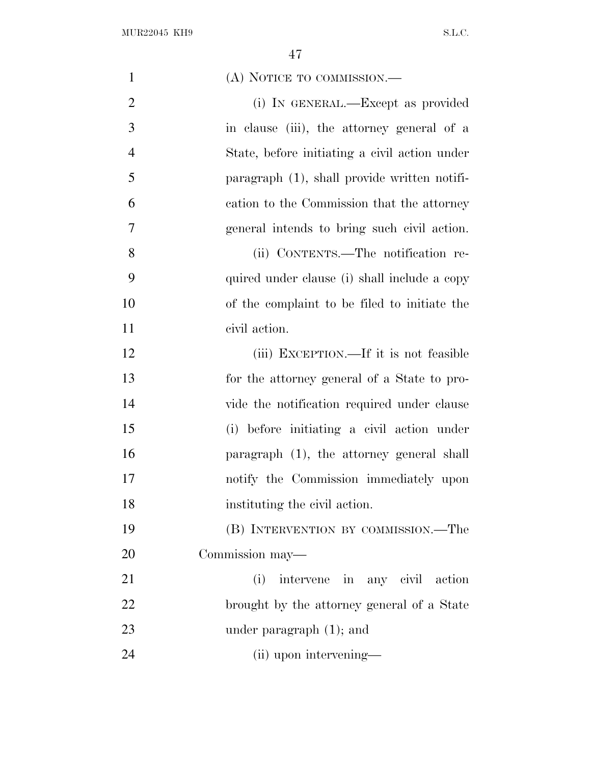| $\mathbf{1}$   | (A) NOTICE TO COMMISSION.—                    |
|----------------|-----------------------------------------------|
| $\overline{2}$ | (i) IN GENERAL.—Except as provided            |
| 3              | in clause (iii), the attorney general of a    |
| $\overline{4}$ | State, before initiating a civil action under |
| 5              | paragraph (1), shall provide written notifi-  |
| 6              | cation to the Commission that the attorney    |
| 7              | general intends to bring such civil action.   |
| 8              | (ii) CONTENTS.—The notification re-           |
| 9              | quired under clause (i) shall include a copy  |
| 10             | of the complaint to be filed to initiate the  |
| 11             | civil action.                                 |
| 12             | (iii) EXCEPTION.—If it is not feasible        |
| 13             | for the attorney general of a State to pro-   |
| 14             | vide the notification required under clause   |
| 15             | (i) before initiating a civil action under    |
| 16             | paragraph (1), the attorney general shall     |
| 17             | notify the Commission immediately upon        |
| 18             | instituting the civil action.                 |
| 19             | (B) INTERVENTION BY COMMISSION.—The           |
| 20             | Commission may—                               |
| 21             | intervene in any civil action<br>(i)          |
| 22             | brought by the attorney general of a State    |
| 23             | under paragraph $(1)$ ; and                   |
| 24             | (ii) upon intervening—                        |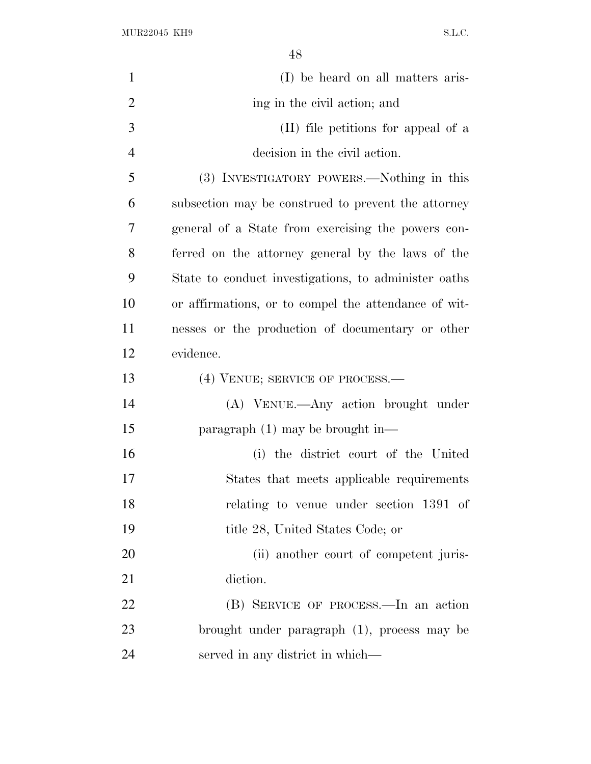$\rm MUR22045\,~~KH9 \qquad \qquad S.L.C.$ 

| $\mathbf{1}$   | (I) be heard on all matters aris-                    |
|----------------|------------------------------------------------------|
| $\overline{2}$ | ing in the civil action; and                         |
| 3              | (II) file petitions for appeal of a                  |
| $\overline{4}$ | decision in the civil action.                        |
| 5              | (3) INVESTIGATORY POWERS.—Nothing in this            |
| 6              | subsection may be construed to prevent the attorney  |
| 7              | general of a State from exercising the powers con-   |
| 8              | ferred on the attorney general by the laws of the    |
| 9              | State to conduct investigations, to administer oaths |
| 10             | or affirmations, or to compel the attendance of wit- |
| 11             | nesses or the production of documentary or other     |
| 12             | evidence.                                            |
| 13             | (4) VENUE; SERVICE OF PROCESS.—                      |
| 14             | (A) VENUE.—Any action brought under                  |
| 15             | paragraph $(1)$ may be brought in—                   |
| 16             | (i) the district court of the United                 |
| 17             | States that meets applicable requirements            |
| 18             | relating to venue under section 1391 of              |
| 19             | title 28, United States Code; or                     |
| 20             | (ii) another court of competent juris-               |
| 21             | diction.                                             |
| 22             | (B) SERVICE OF PROCESS.—In an action                 |
| 23             | brought under paragraph (1), process may be          |
| 24             | served in any district in which—                     |
|                |                                                      |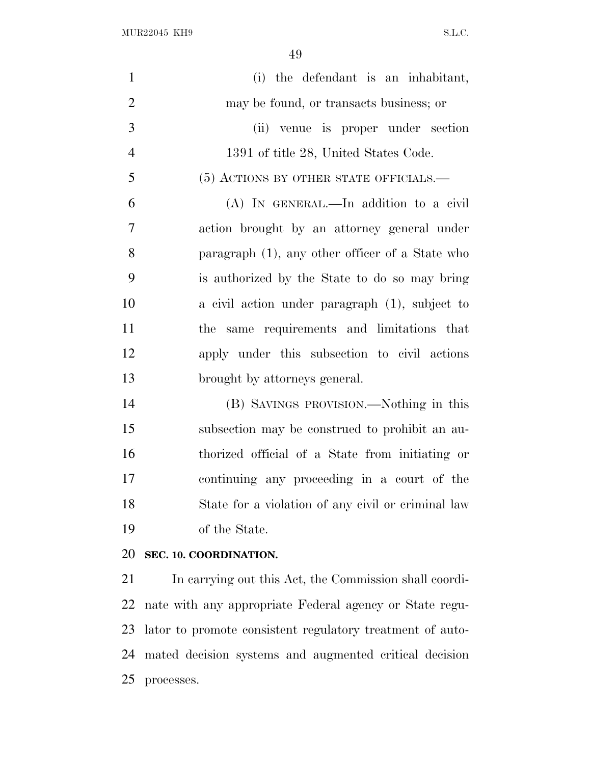MUR22045 KH9 S.L.C.

processes.

| $\mathbf{1}$   | (i) the defendant is an inhabitant,                       |
|----------------|-----------------------------------------------------------|
| $\overline{2}$ | may be found, or transacts business; or                   |
| 3              | (ii) venue is proper under section                        |
| $\overline{4}$ | 1391 of title 28, United States Code.                     |
| 5              | (5) ACTIONS BY OTHER STATE OFFICIALS.—                    |
| 6              | (A) IN GENERAL.—In addition to a civil                    |
| 7              | action brought by an attorney general under               |
| 8              | paragraph (1), any other officer of a State who           |
| 9              | is authorized by the State to do so may bring             |
| 10             | a civil action under paragraph $(1)$ , subject to         |
| 11             | same requirements and limitations that<br>the             |
| 12             | apply under this subsection to civil actions              |
| 13             | brought by attorneys general.                             |
| 14             | (B) SAVINGS PROVISION.—Nothing in this                    |
| 15             | subsection may be construed to prohibit an au-            |
| 16             | thorized official of a State from initiating or           |
| 17             | continuing any proceeding in a court of the               |
| 18             | State for a violation of any civil or criminal law        |
| 19             | of the State.                                             |
| 20             | SEC. 10. COORDINATION.                                    |
| 21             | In carrying out this Act, the Commission shall coordi-    |
| 22             | nate with any appropriate Federal agency or State regu-   |
| 23             | lator to promote consistent regulatory treatment of auto- |
| 24             | mated decision systems and augmented critical decision    |